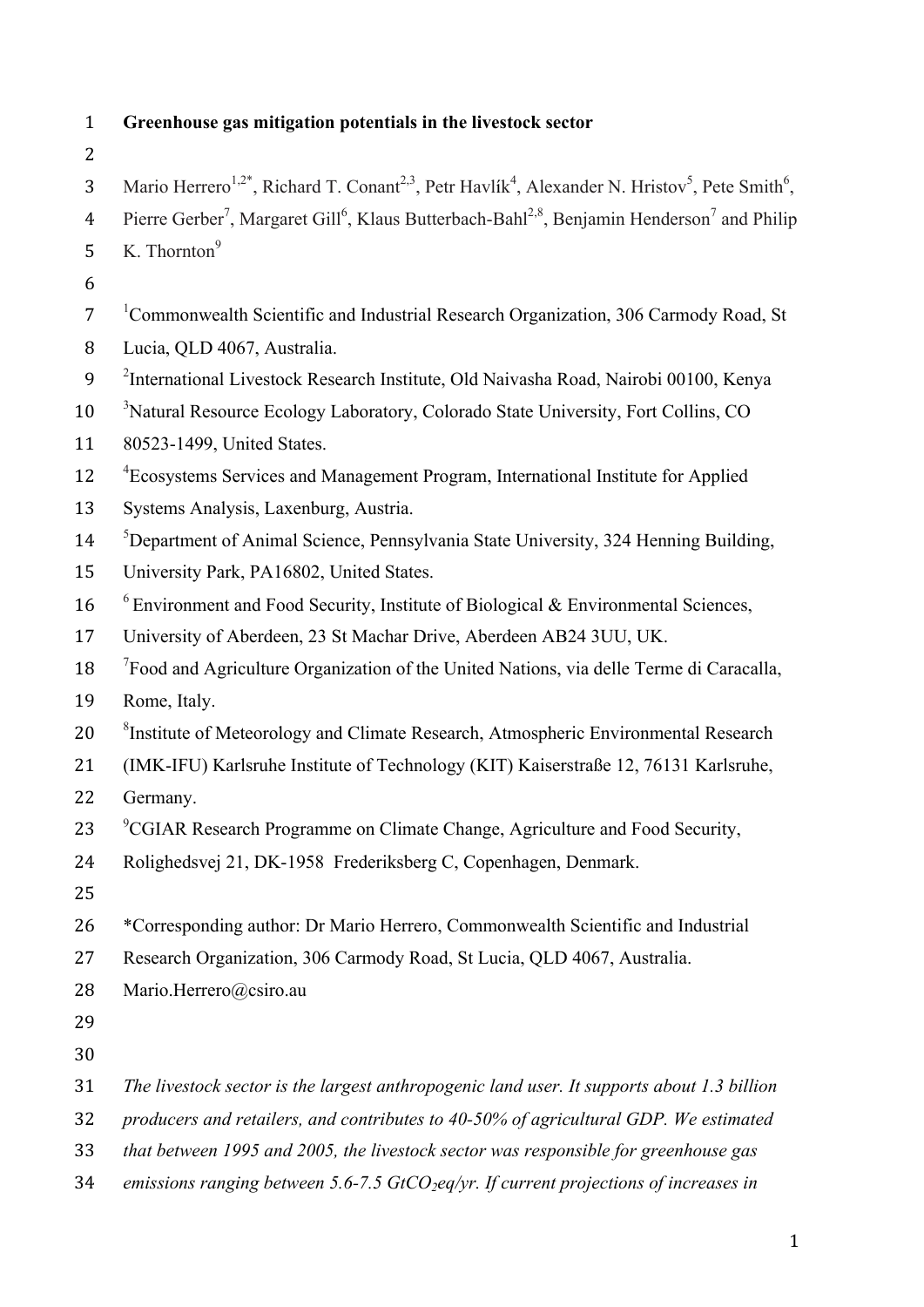| $\mathbf{1}$   | Greenhouse gas mitigation potentials in the livestock sector                                                                                                |  |
|----------------|-------------------------------------------------------------------------------------------------------------------------------------------------------------|--|
| $\overline{2}$ |                                                                                                                                                             |  |
| 3              | Mario Herrero <sup>1,2*</sup> , Richard T. Conant <sup>2,3</sup> , Petr Havlík <sup>4</sup> , Alexander N. Hristov <sup>5</sup> , Pete Smith <sup>6</sup> , |  |
| $\overline{4}$ | Pierre Gerber <sup>7</sup> , Margaret Gill <sup>6</sup> , Klaus Butterbach-Bahl <sup>2,8</sup> , Benjamin Henderson <sup>7</sup> and Philip                 |  |
| 5              | K. Thornton <sup>9</sup>                                                                                                                                    |  |
| 6              |                                                                                                                                                             |  |
| $\overline{7}$ | <sup>1</sup> Commonwealth Scientific and Industrial Research Organization, 306 Carmody Road, St                                                             |  |
| 8              | Lucia, QLD 4067, Australia.                                                                                                                                 |  |
| 9              | <sup>2</sup> International Livestock Research Institute, Old Naivasha Road, Nairobi 00100, Kenya                                                            |  |
| 10             | <sup>3</sup> Natural Resource Ecology Laboratory, Colorado State University, Fort Collins, CO                                                               |  |
| 11             | 80523-1499, United States.                                                                                                                                  |  |
| 12             | <sup>4</sup> Ecosystems Services and Management Program, International Institute for Applied                                                                |  |
| 13             | Systems Analysis, Laxenburg, Austria.                                                                                                                       |  |
| 14             | <sup>5</sup> Department of Animal Science, Pennsylvania State University, 324 Henning Building,                                                             |  |
| 15             | University Park, PA16802, United States.                                                                                                                    |  |
| 16             | $6$ Environment and Food Security, Institute of Biological & Environmental Sciences,                                                                        |  |
| 17             | University of Aberdeen, 23 St Machar Drive, Aberdeen AB24 3UU, UK.                                                                                          |  |
| 18             | <sup>7</sup> Food and Agriculture Organization of the United Nations, via delle Terme di Caracalla,                                                         |  |
| 19             | Rome, Italy.                                                                                                                                                |  |
| 20             | <sup>8</sup> Institute of Meteorology and Climate Research, Atmospheric Environmental Research                                                              |  |
| 21             | (IMK-IFU) Karlsruhe Institute of Technology (KIT) Kaiserstraße 12, 76131 Karlsruhe,                                                                         |  |
| 22             | Germany.                                                                                                                                                    |  |
| 23             | <sup>9</sup> CGIAR Research Programme on Climate Change, Agriculture and Food Security,                                                                     |  |
| 24             | Rolighedsvej 21, DK-1958 Frederiksberg C, Copenhagen, Denmark.                                                                                              |  |
| 25             |                                                                                                                                                             |  |
| 26             | *Corresponding author: Dr Mario Herrero, Commonwealth Scientific and Industrial                                                                             |  |
| 27             | Research Organization, 306 Carmody Road, St Lucia, QLD 4067, Australia.                                                                                     |  |
| 28             | Mario.Herrero@csiro.au                                                                                                                                      |  |
| 29             |                                                                                                                                                             |  |
| 30             |                                                                                                                                                             |  |
| 31             | The livestock sector is the largest anthropogenic land user. It supports about 1.3 billion                                                                  |  |
| 32             | producers and retailers, and contributes to 40-50% of agricultural GDP. We estimated                                                                        |  |
| 33             | that between 1995 and 2005, the livestock sector was responsible for greenhouse gas                                                                         |  |
| 34             | emissions ranging between 5.6-7.5 $GtCO_2$ eq/yr. If current projections of increases in                                                                    |  |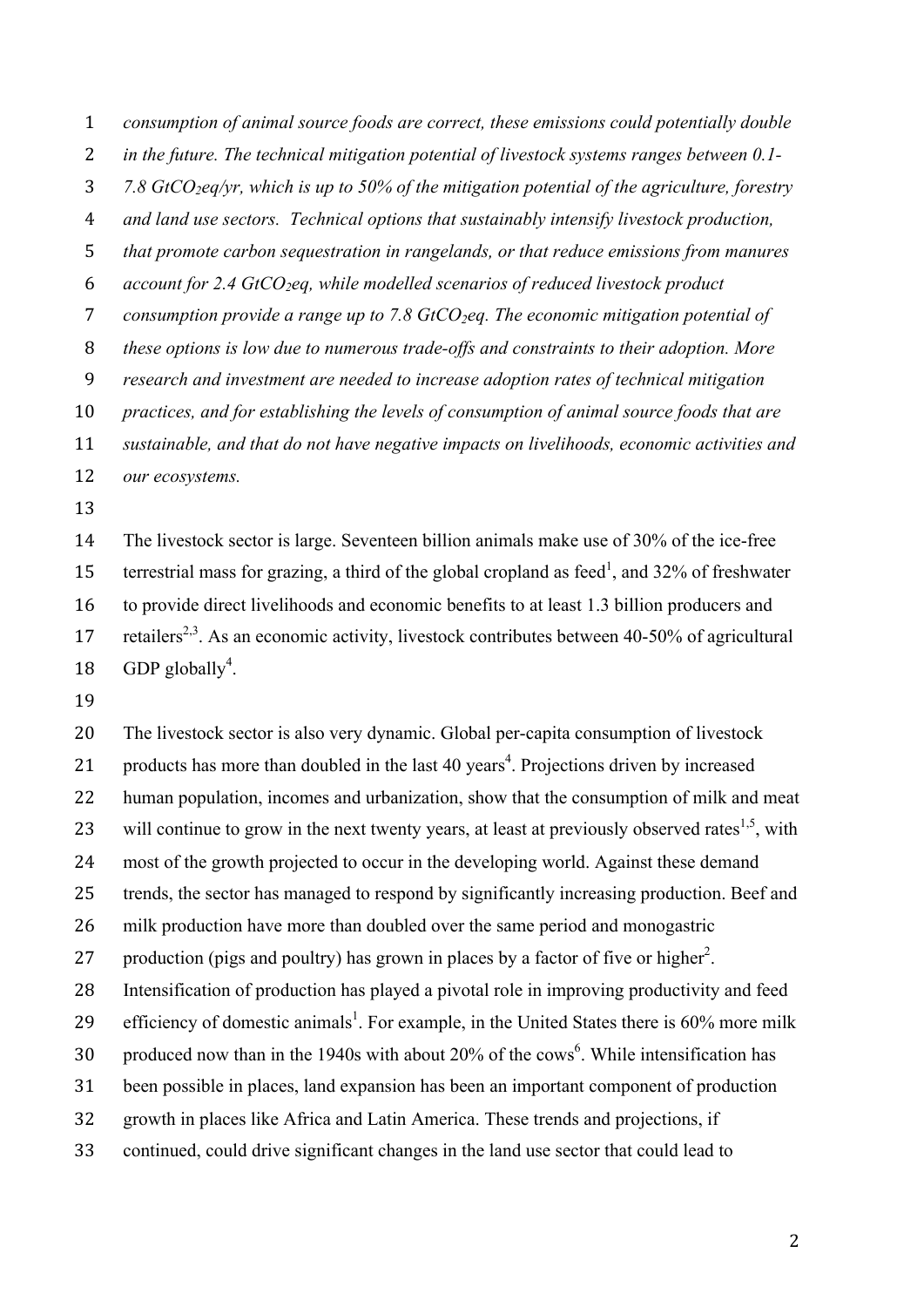*consumption of animal source foods are correct, these emissions could potentially double* 

- *in the future. The technical mitigation potential of livestock systems ranges between 0.1-*
- *7.8 GtCO2eq/yr, which is up to 50% of the mitigation potential of the agriculture, forestry*

*and land use sectors. Technical options that sustainably intensify livestock production,* 

*that promote carbon sequestration in rangelands, or that reduce emissions from manures* 

*account for 2.4 GtCO2eq, while modelled scenarios of reduced livestock product* 

7 *consumption provide a range up to 7.8 GtCO<sub>2</sub>eq. The economic mitigation potential of* 

*these options is low due to numerous trade-offs and constraints to their adoption. More* 

*research and investment are needed to increase adoption rates of technical mitigation* 

*practices, and for establishing the levels of consumption of animal source foods that are* 

*sustainable, and that do not have negative impacts on livelihoods, economic activities and* 

*our ecosystems.*

 The livestock sector is large. Seventeen billion animals make use of 30% of the ice-free 15 terrestrial mass for grazing, a third of the global cropland as feed<sup>1</sup>, and 32% of freshwater to provide direct livelihoods and economic benefits to at least 1.3 billion producers and 17 retailers<sup>2,3</sup>. As an economic activity, livestock contributes between 40-50% of agricultural 18 GDP globally<sup>4</sup>.

 The livestock sector is also very dynamic. Global per-capita consumption of livestock 21 products has more than doubled in the last 40 years<sup>4</sup>. Projections driven by increased human population, incomes and urbanization, show that the consumption of milk and meat 23 will continue to grow in the next twenty years, at least at previously observed rates<sup>1,5</sup>, with most of the growth projected to occur in the developing world. Against these demand trends, the sector has managed to respond by significantly increasing production. Beef and milk production have more than doubled over the same period and monogastric 27 production (pigs and poultry) has grown in places by a factor of five or higher<sup>2</sup>. Intensification of production has played a pivotal role in improving productivity and feed 29 efficiency of domestic animals<sup>1</sup>. For example, in the United States there is  $60\%$  more milk 30 . produced now than in the 1940s with about 20% of the cows<sup>6</sup>. While intensification has been possible in places, land expansion has been an important component of production growth in places like Africa and Latin America. These trends and projections, if continued, could drive significant changes in the land use sector that could lead to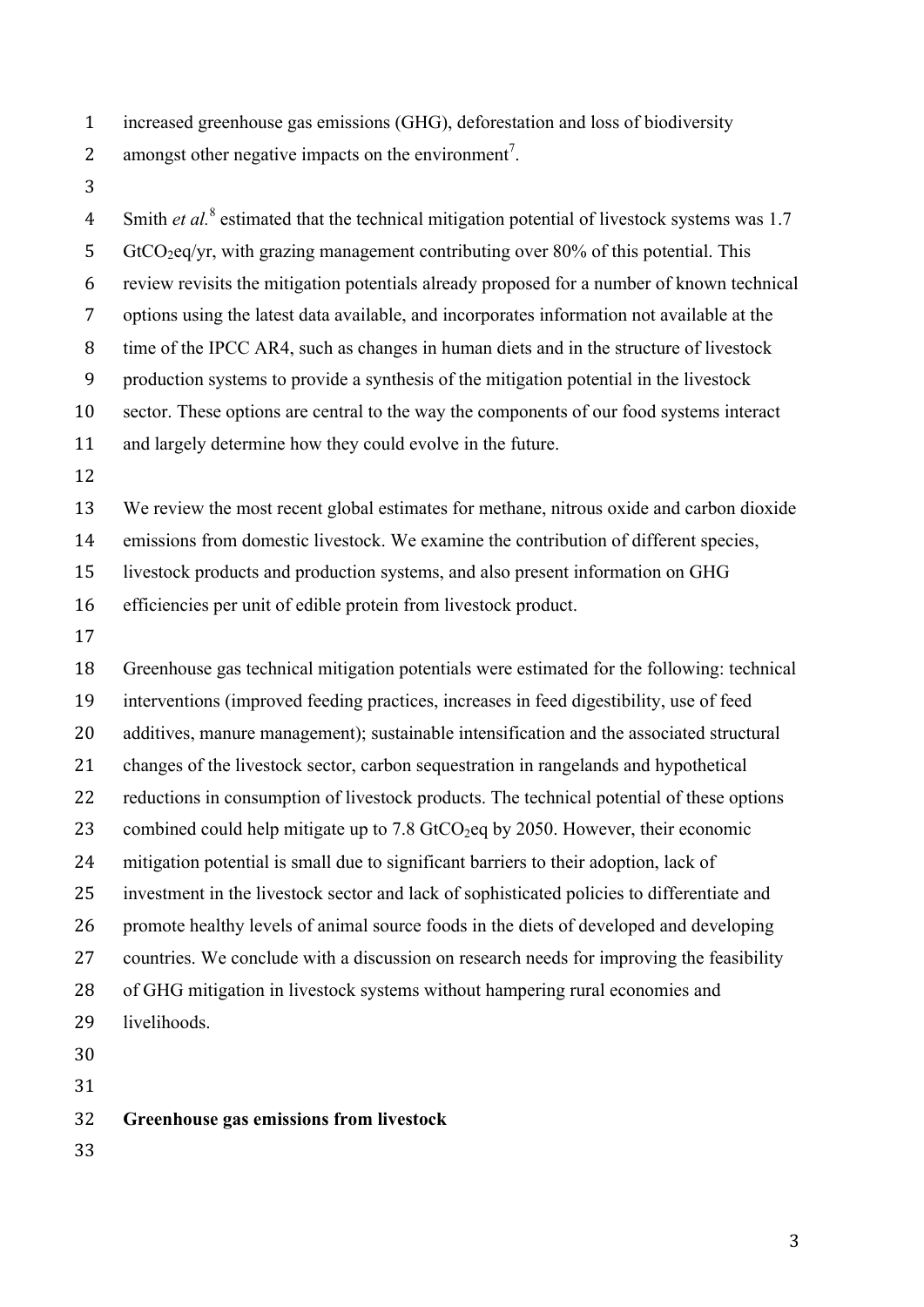increased greenhouse gas emissions (GHG), deforestation and loss of biodiversity

2 amongst other negative impacts on the environment<sup>7</sup>.

4 Smith *et al.*<sup>8</sup> estimated that the technical mitigation potential of livestock systems was 1.7 5 GtCO<sub>2</sub>eq/yr, with grazing management contributing over 80% of this potential. This review revisits the mitigation potentials already proposed for a number of known technical options using the latest data available, and incorporates information not available at the time of the IPCC AR4, such as changes in human diets and in the structure of livestock production systems to provide a synthesis of the mitigation potential in the livestock sector. These options are central to the way the components of our food systems interact and largely determine how they could evolve in the future. We review the most recent global estimates for methane, nitrous oxide and carbon dioxide emissions from domestic livestock. We examine the contribution of different species, livestock products and production systems, and also present information on GHG

efficiencies per unit of edible protein from livestock product.

 Greenhouse gas technical mitigation potentials were estimated for the following: technical interventions (improved feeding practices, increases in feed digestibility, use of feed additives, manure management); sustainable intensification and the associated structural changes of the livestock sector, carbon sequestration in rangelands and hypothetical reductions in consumption of livestock products. The technical potential of these options 23 combined could help mitigate up to 7.8 GtCO<sub>2</sub>eq by 2050. However, their economic mitigation potential is small due to significant barriers to their adoption, lack of investment in the livestock sector and lack of sophisticated policies to differentiate and promote healthy levels of animal source foods in the diets of developed and developing countries. We conclude with a discussion on research needs for improving the feasibility of GHG mitigation in livestock systems without hampering rural economies and livelihoods. 

**Greenhouse gas emissions from livestock**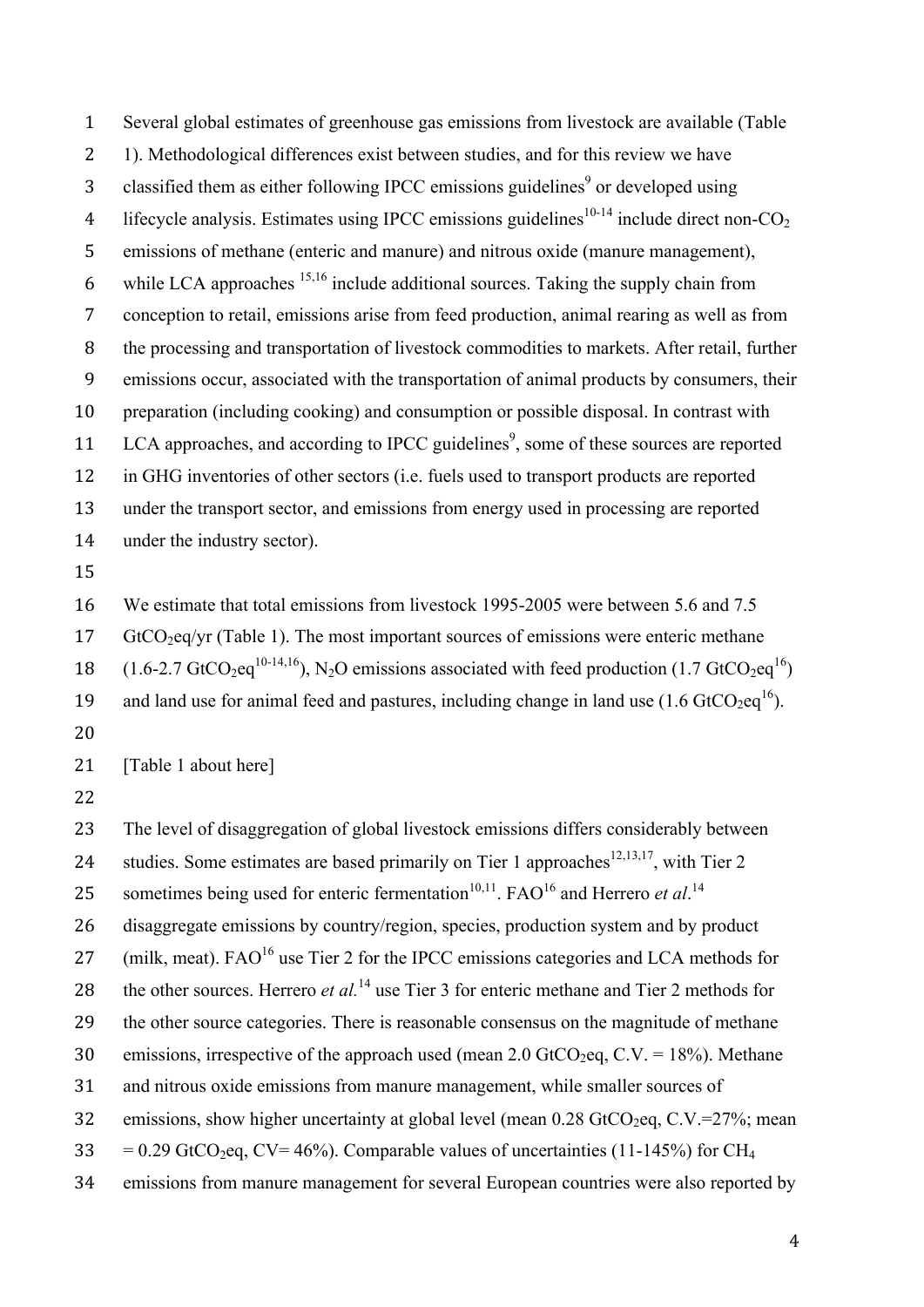Several global estimates of greenhouse gas emissions from livestock are available (Table 1). Methodological differences exist between studies, and for this review we have 3 classified them as either following IPCC emissions guidelines<sup>9</sup> or developed using 4 lifecycle analysis. Estimates using IPCC emissions guidelines<sup>10-14</sup> include direct non- $CO<sub>2</sub>$  emissions of methane (enteric and manure) and nitrous oxide (manure management), 6 while LCA approaches  $15,16$  include additional sources. Taking the supply chain from conception to retail, emissions arise from feed production, animal rearing as well as from the processing and transportation of livestock commodities to markets. After retail, further emissions occur, associated with the transportation of animal products by consumers, their preparation (including cooking) and consumption or possible disposal. In contrast with 11 LCA approaches, and according to IPCC guidelines<sup>9</sup>, some of these sources are reported in GHG inventories of other sectors (i.e. fuels used to transport products are reported under the transport sector, and emissions from energy used in processing are reported under the industry sector).

15

16 We estimate that total emissions from livestock 1995-2005 were between 5.6 and 7.5 17 GtCO<sub>2</sub>eq/yr (Table 1). The most important sources of emissions were enteric methane 18  $(1.6-2.7 \text{ GtCO}_2)$  (1.6-2.7 GtCO<sub>2</sub>eq<sup>10-14,16</sup>), N<sub>2</sub>O emissions associated with feed production (1.7 GtCO<sub>2</sub>eq<sup>16</sup>) 19 and land use for animal feed and pastures, including change in land use  $(1.6 \text{ GtCO}_2 \text{eq}^{16})$ . 20

21 [Table 1 about here]

22

23 The level of disaggregation of global livestock emissions differs considerably between 24 studies. Some estimates are based primarily on Tier 1 approaches<sup>12,13,17</sup>, with Tier 2 25 sometimes being used for enteric fermentation<sup>10,11</sup>. FAO<sup>16</sup> and Herrero *et al.*<sup>14</sup> 26 disaggregate emissions by country/region, species, production system and by product 27 (milk, meat).  $FAO<sup>16</sup>$  use Tier 2 for the IPCC emissions categories and LCA methods for 28 the other sources. Herrero *et al.*<sup>14</sup> use Tier 3 for enteric methane and Tier 2 methods for 29 the other source categories. There is reasonable consensus on the magnitude of methane 30 emissions, irrespective of the approach used (mean 2.0 GtCO<sub>2</sub>eq, C.V. = 18%). Methane 31 and nitrous oxide emissions from manure management, while smaller sources of 32 emissions, show higher uncertainty at global level (mean  $0.28$  GtCO<sub>2</sub>eq, C.V.=27%; mean 33 = 0.29 GtCO<sub>2</sub>eq, CV= 46%). Comparable values of uncertainties (11-145%) for CH<sub>4</sub> 34 emissions from manure management for several European countries were also reported by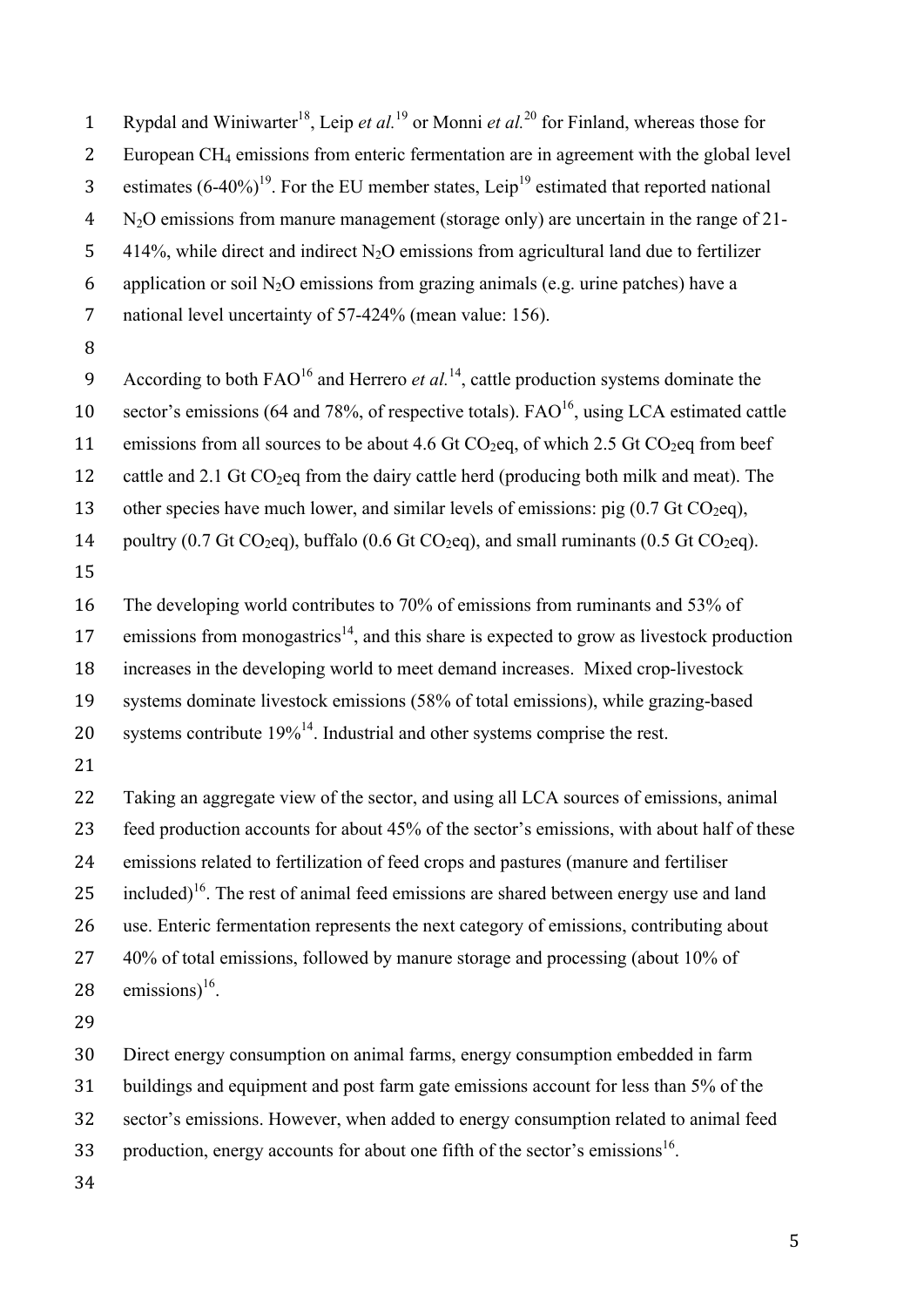2 European CH4 emissions from enteric fermentation are in agreement with the global level 3 estimates  $(6-40\%)^{19}$ . For the EU member states, Leip<sup>19</sup> estimated that reported national 4 N2O emissions from manure management (storage only) are uncertain in the range of 21- 5 414%, while direct and indirect  $N_2O$  emissions from agricultural land due to fertilizer 6 application or soil N<sub>2</sub>O emissions from grazing animals (e.g. urine patches) have a 7 national level uncertainty of 57-424% (mean value: 156). 8 According to both  $FAO<sup>16</sup>$  and Herrero *et al.*<sup>14</sup>, cattle production systems dominate the 10 sector's emissions (64 and 78%, of respective totals).  $FAO<sup>16</sup>$ , using LCA estimated cattle 11 emissions from all sources to be about 4.6 Gt  $CO<sub>2</sub>eq$ , of which 2.5 Gt  $CO<sub>2</sub>eq$  from beef 12 cattle and 2.1 Gt  $CO<sub>2</sub>$ eq from the dairy cattle herd (producing both milk and meat). The 13 other species have much lower, and similar levels of emissions: pig  $(0.7 \text{ Gt CO}_2)$ , 14 poultry  $(0.7 \text{ Gt CO}_2)$ , buffalo  $(0.6 \text{ Gt CO}_2)$ , and small ruminants  $(0.5 \text{ Gt CO}_2)$ . 15 16 The developing world contributes to 70% of emissions from ruminants and 53% of 17 emissions from monogastrics<sup>14</sup>, and this share is expected to grow as livestock production 18 increases in the developing world to meet demand increases. Mixed crop-livestock 19 systems dominate livestock emissions (58% of total emissions), while grazing-based 20 systems contribute  $19\%^{14}$ . Industrial and other systems comprise the rest. 21 22 Taking an aggregate view of the sector, and using all LCA sources of emissions, animal 23 feed production accounts for about 45% of the sector's emissions, with about half of these 24 emissions related to fertilization of feed crops and pastures (manure and fertiliser 25 included)<sup>16</sup>. The rest of animal feed emissions are shared between energy use and land 26 use. Enteric fermentation represents the next category of emissions, contributing about 27 40% of total emissions, followed by manure storage and processing (about 10% of 28 emissions) $16$ . 29 30 Direct energy consumption on animal farms, energy consumption embedded in farm 31 buildings and equipment and post farm gate emissions account for less than 5% of the 32 sector's emissions. However, when added to energy consumption related to animal feed 33 . production, energy accounts for about one fifth of the sector's emissions<sup>16</sup>. 34

1 Rypdal and Winiwarter<sup>18</sup>, Leip *et al.*<sup>19</sup> or Monni *et al.*<sup>20</sup> for Finland, whereas those for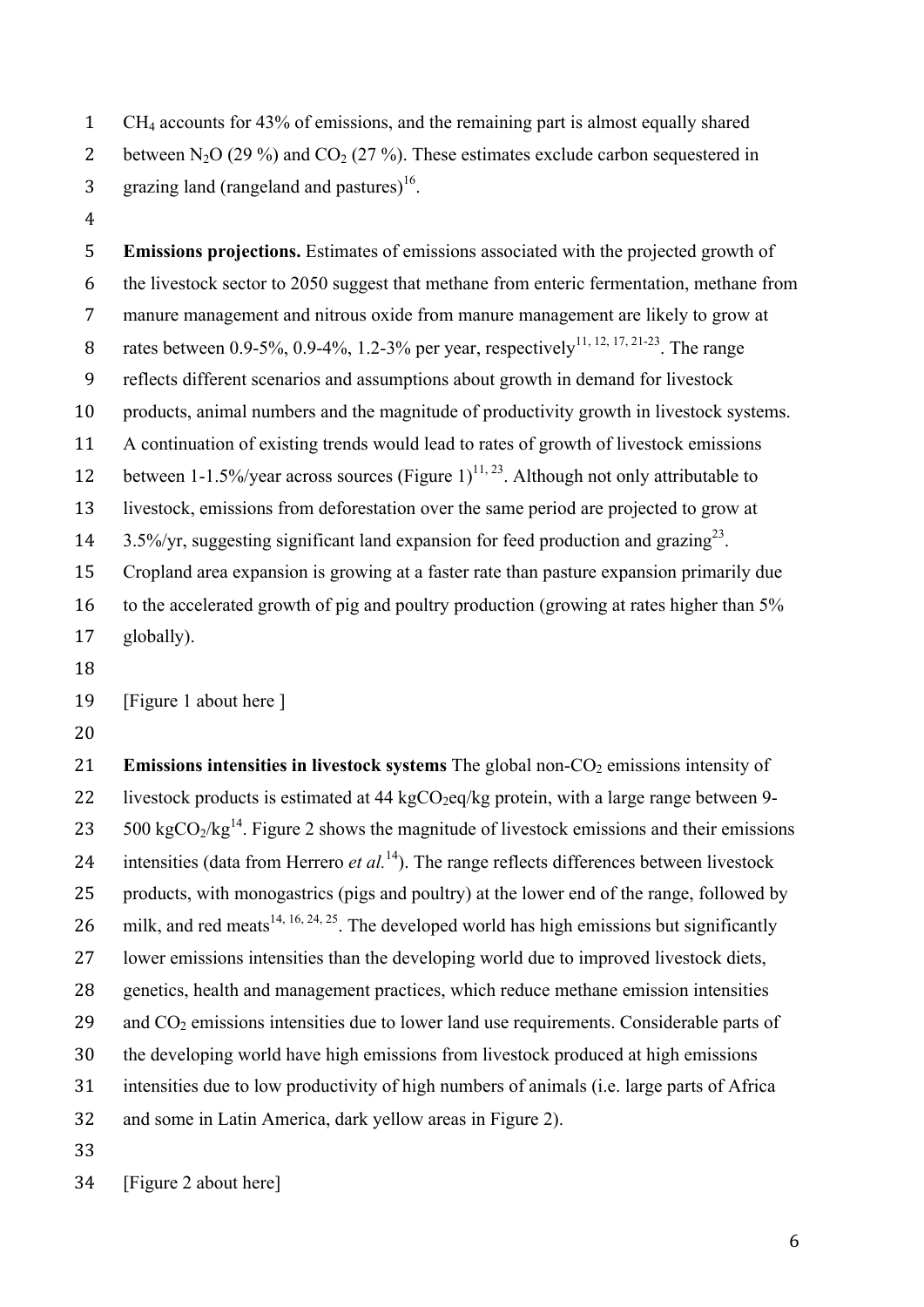CH4 accounts for 43% of emissions, and the remaining part is almost equally shared 2 between N<sub>2</sub>O (29 %) and CO<sub>2</sub> (27 %). These estimates exclude carbon sequestered in 3 . grazing land (rangeland and pastures).

 **Emissions projections.** Estimates of emissions associated with the projected growth of the livestock sector to 2050 suggest that methane from enteric fermentation, methane from manure management and nitrous oxide from manure management are likely to grow at 8 rates between 0.9-5%, 0.9-4%, 1.2-3% per year, respectively<sup>11, 12, 17, 21-23</sup>. The range reflects different scenarios and assumptions about growth in demand for livestock products, animal numbers and the magnitude of productivity growth in livestock systems. A continuation of existing trends would lead to rates of growth of livestock emissions 12 between 1-1.5%/year across sources (Figure 1)<sup>11, 23</sup>. Although not only attributable to livestock, emissions from deforestation over the same period are projected to grow at  $3.5\%$ /yr, suggesting significant land expansion for feed production and grazing<sup>23</sup>. Cropland area expansion is growing at a faster rate than pasture expansion primarily due 16 to the accelerated growth of pig and poultry production (growing at rates higher than 5% globally).

[Figure 1 about here ]

21 **Emissions intensities in livestock systems** The global non-CO<sub>2</sub> emissions intensity of 22 livestock products is estimated at 44 kg $CO<sub>2</sub>$ eq/kg protein, with a large range between 9-23 . 500 kgCO<sub>2</sub>/kg<sup>14</sup>. Figure 2 shows the magnitude of livestock emissions and their emissions 24 intensities (data from Herrero *et al.*<sup>14</sup>). The range reflects differences between livestock products, with monogastrics (pigs and poultry) at the lower end of the range, followed by 26 milk, and red meats <sup>14, 16, 24, 25</sup>. The developed world has high emissions but significantly lower emissions intensities than the developing world due to improved livestock diets, genetics, health and management practices, which reduce methane emission intensities 29 and  $CO<sub>2</sub>$  emissions intensities due to lower land use requirements. Considerable parts of the developing world have high emissions from livestock produced at high emissions intensities due to low productivity of high numbers of animals (i.e. large parts of Africa and some in Latin America, dark yellow areas in Figure 2). 

[Figure 2 about here]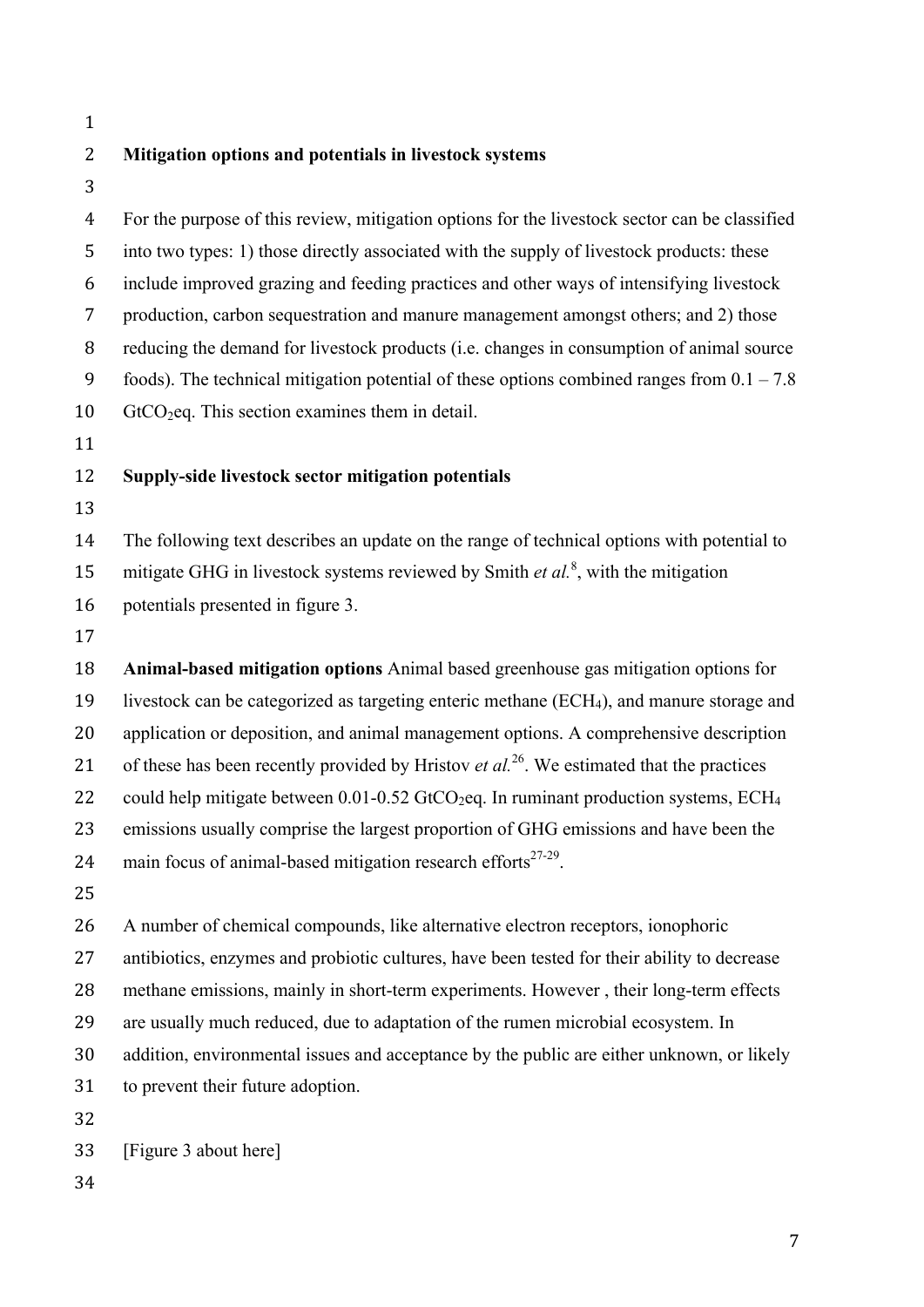## **Mitigation options and potentials in livestock systems**

 For the purpose of this review, mitigation options for the livestock sector can be classified into two types: 1) those directly associated with the supply of livestock products: these include improved grazing and feeding practices and other ways of intensifying livestock production, carbon sequestration and manure management amongst others; and 2) those reducing the demand for livestock products (i.e. changes in consumption of animal source 9 foods). The technical mitigation potential of these options combined ranges from  $0.1 - 7.8$ 10 GtCO<sub>2</sub>eq. This section examines them in detail. 

## **Supply-side livestock sector mitigation potentials**

The following text describes an update on the range of technical options with potential to

15 mitigate GHG in livestock systems reviewed by Smith *et al.<sup>8</sup>*, with the mitigation

potentials presented in figure 3.

 **Animal-based mitigation options** Animal based greenhouse gas mitigation options for livestock can be categorized as targeting enteric methane (ECH4), and manure storage and application or deposition, and animal management options. A comprehensive description 21 of these has been recently provided by Hristov *et al.*<sup>26</sup>. We estimated that the practices 22 could help mitigate between  $0.01$ -0.52 GtCO<sub>2</sub>eq. In ruminant production systems, ECH<sub>4</sub> emissions usually comprise the largest proportion of GHG emissions and have been the 24 main focus of animal-based mitigation research efforts $27-29$ .

 A number of chemical compounds, like alternative electron receptors, ionophoric antibiotics, enzymes and probiotic cultures, have been tested for their ability to decrease methane emissions, mainly in short-term experiments. However , their long-term effects are usually much reduced, due to adaptation of the rumen microbial ecosystem. In addition, environmental issues and acceptance by the public are either unknown, or likely to prevent their future adoption.

[Figure 3 about here]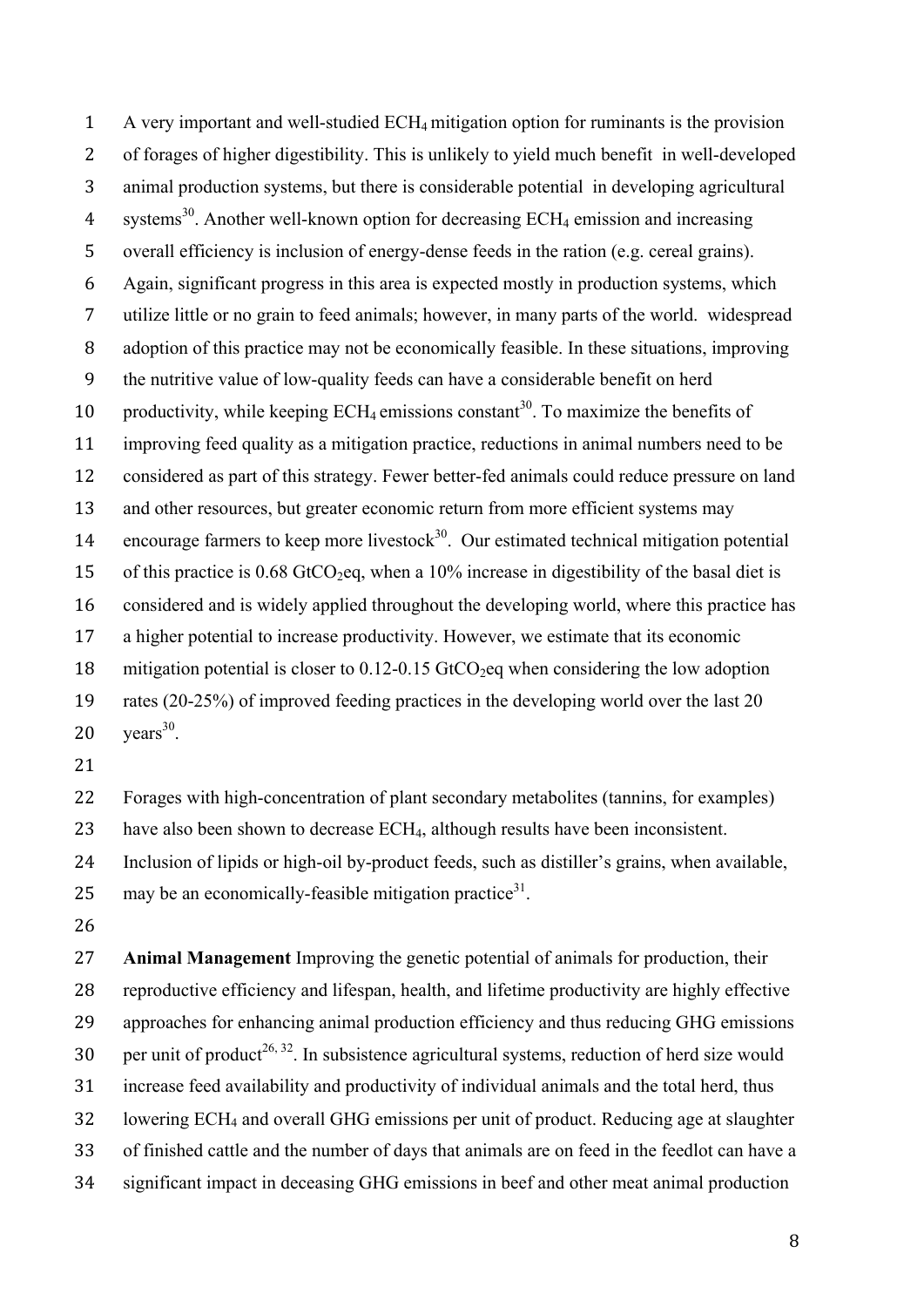A very important and well-studied ECH4 mitigation option for ruminants is the provision of forages of higher digestibility. This is unlikely to yield much benefit in well-developed animal production systems, but there is considerable potential in developing agricultural 4 systems<sup>30</sup>. Another well-known option for decreasing  $ECH_4$  emission and increasing overall efficiency is inclusion of energy-dense feeds in the ration (e.g. cereal grains). Again, significant progress in this area is expected mostly in production systems, which utilize little or no grain to feed animals; however, in many parts of the world. widespread adoption of this practice may not be economically feasible. In these situations, improving the nutritive value of low-quality feeds can have a considerable benefit on herd 10 productivity, while keeping  $ECH_4$  emissions constant<sup>30</sup>. To maximize the benefits of improving feed quality as a mitigation practice, reductions in animal numbers need to be considered as part of this strategy. Fewer better-fed animals could reduce pressure on land and other resources, but greater economic return from more efficient systems may 14 encourage farmers to keep more livestock<sup>30</sup>. Our estimated technical mitigation potential 15 of this practice is  $0.68$  GtCO<sub>2</sub>eq, when a 10% increase in digestibility of the basal diet is considered and is widely applied throughout the developing world, where this practice has a higher potential to increase productivity. However, we estimate that its economic 18 mitigation potential is closer to  $0.12$ -0.15 GtCO<sub>2</sub>eq when considering the low adoption rates (20-25%) of improved feeding practices in the developing world over the last 20  $\mathrm{years}^{30}$ .

 Forages with high-concentration of plant secondary metabolites (tannins, for examples) have also been shown to decrease ECH4, although results have been inconsistent. Inclusion of lipids or high-oil by-product feeds, such as distiller's grains, when available, 25 may be an economically-feasible mitigation practice<sup>31</sup>.

 **Animal Management** Improving the genetic potential of animals for production, their reproductive efficiency and lifespan, health, and lifetime productivity are highly effective approaches for enhancing animal production efficiency and thus reducing GHG emissions 30 ber unit of product<sup>26, 32</sup>. In subsistence agricultural systems, reduction of herd size would increase feed availability and productivity of individual animals and the total herd, thus lowering ECH4 and overall GHG emissions per unit of product. Reducing age at slaughter of finished cattle and the number of days that animals are on feed in the feedlot can have a significant impact in deceasing GHG emissions in beef and other meat animal production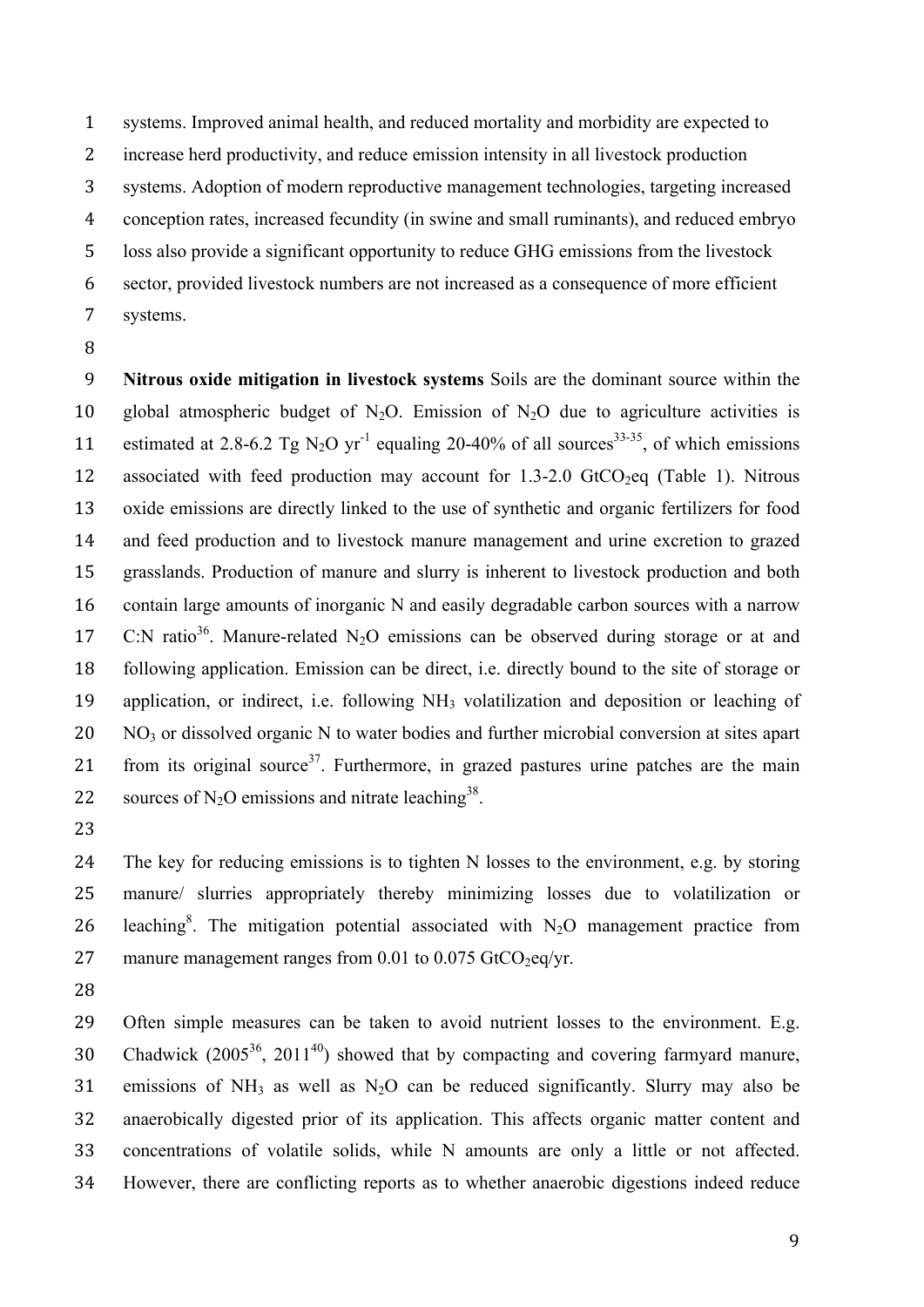systems. Improved animal health, and reduced mortality and morbidity are expected to increase herd productivity, and reduce emission intensity in all livestock production systems. Adoption of modern reproductive management technologies, targeting increased conception rates, increased fecundity (in swine and small ruminants), and reduced embryo loss also provide a significant opportunity to reduce GHG emissions from the livestock sector, provided livestock numbers are not increased as a consequence of more efficient systems.

 **Nitrous oxide mitigation in livestock systems** Soils are the dominant source within the 10 global atmospheric budget of  $N_2O$ . Emission of  $N_2O$  due to agriculture activities is 11 estimated at 2.8-6.2 Tg N<sub>2</sub>O yr<sup>-1</sup> equaling 20-40% of all sources<sup>33-35</sup>, of which emissions 12 associated with feed production may account for  $1.3\n-2.0$  GtCO<sub>2</sub>eq (Table 1). Nitrous oxide emissions are directly linked to the use of synthetic and organic fertilizers for food and feed production and to livestock manure management and urine excretion to grazed grasslands. Production of manure and slurry is inherent to livestock production and both contain large amounts of inorganic N and easily degradable carbon sources with a narrow 17  $\degree$  C:N ratio<sup>36</sup>. Manure-related N<sub>2</sub>O emissions can be observed during storage or at and following application. Emission can be direct, i.e. directly bound to the site of storage or application, or indirect, i.e. following NH3 volatilization and deposition or leaching of 20 NO<sub>3</sub> or dissolved organic N to water bodies and further microbial conversion at sites apart 21 from its original source<sup>37</sup>. Furthermore, in grazed pastures urine patches are the main 22 sources of N<sub>2</sub>O emissions and nitrate leaching<sup>38</sup>.

 The key for reducing emissions is to tighten N losses to the environment, e.g. by storing manure/ slurries appropriately thereby minimizing losses due to volatilization or 26 leaching<sup>8</sup>. The mitigation potential associated with  $N_2O$  management practice from 27 manure management ranges from 0.01 to 0.075 GtCO<sub>2</sub>eq/yr.

 Often simple measures can be taken to avoid nutrient losses to the environment. E.g. 30 Chadwick  $(2005^{36}, 2011^{40})$  showed that by compacting and covering farmyard manure, 31 emissions of  $NH_3$  as well as  $N_2O$  can be reduced significantly. Slurry may also be anaerobically digested prior of its application. This affects organic matter content and concentrations of volatile solids, while N amounts are only a little or not affected. However, there are conflicting reports as to whether anaerobic digestions indeed reduce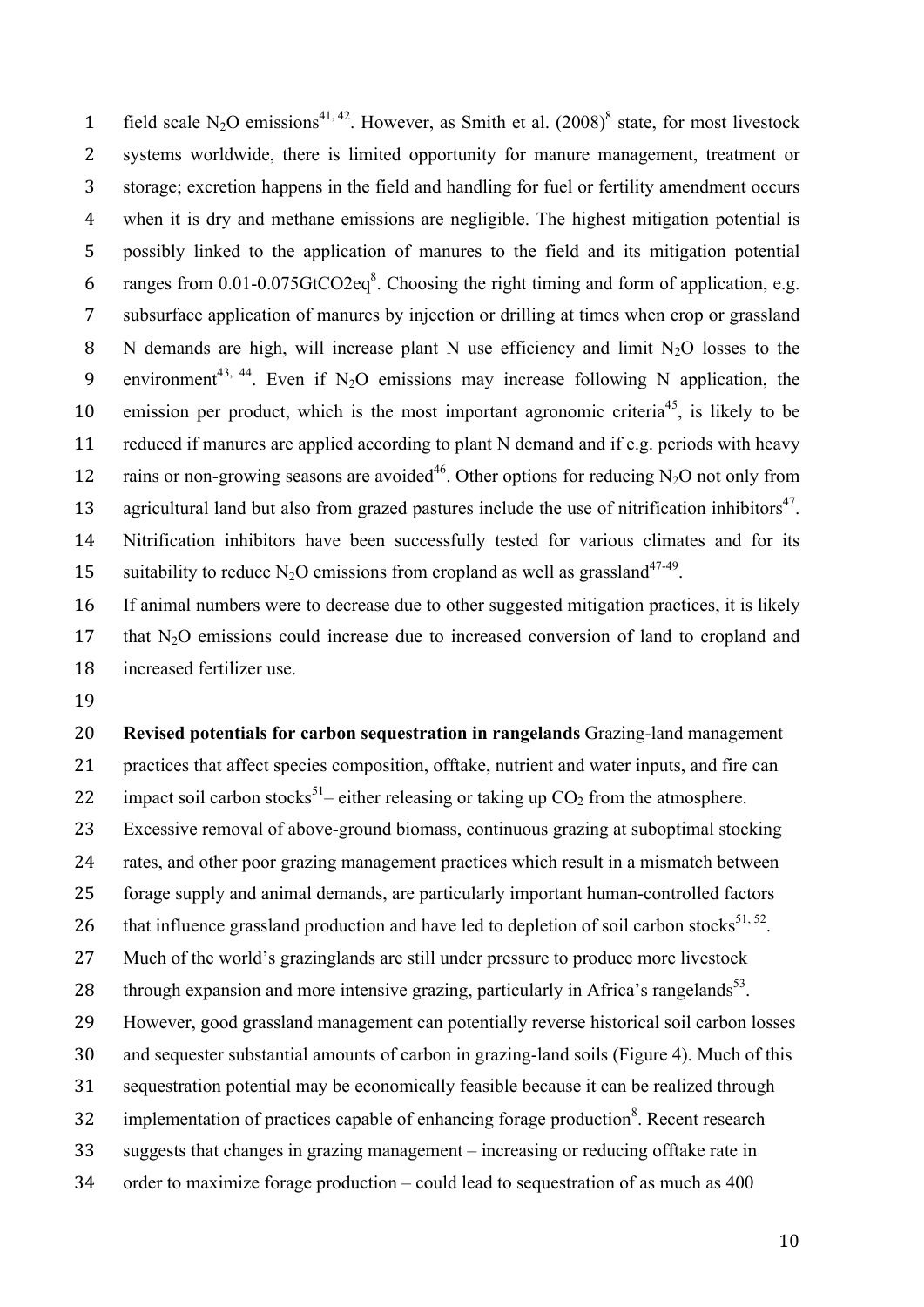1 field scale N<sub>2</sub>O emissions<sup>41, 42</sup>. However, as Smith et al.  $(2008)^8$  state, for most livestock systems worldwide, there is limited opportunity for manure management, treatment or storage; excretion happens in the field and handling for fuel or fertility amendment occurs when it is dry and methane emissions are negligible. The highest mitigation potential is possibly linked to the application of manures to the field and its mitigation potential 6 ranges from  $0.01$ - $0.075$ GtCO2eq<sup>8</sup>. Choosing the right timing and form of application, e.g. subsurface application of manures by injection or drilling at times when crop or grassland 8 N demands are high, will increase plant N use efficiency and limit  $N_2O$  losses to the 9 environment<sup>43, 44</sup>. Even if N<sub>2</sub>O emissions may increase following N application, the 10 emission per product, which is the most important agronomic criteria<sup>45</sup>, is likely to be reduced if manures are applied according to plant N demand and if e.g. periods with heavy 12 rains or non-growing seasons are avoided<sup>46</sup>. Other options for reducing N<sub>2</sub>O not only from 13 agricultural land but also from grazed pastures include the use of nitrification inhibitors<sup>47</sup>. Nitrification inhibitors have been successfully tested for various climates and for its 15 suitability to reduce N<sub>2</sub>O emissions from cropland as well as grassland<sup>47-49</sup>.

 If animal numbers were to decrease due to other suggested mitigation practices, it is likely 17 that N<sub>2</sub>O emissions could increase due to increased conversion of land to cropland and increased fertilizer use.

 **Revised potentials for carbon sequestration in rangelands** Grazing-land management practices that affect species composition, offtake, nutrient and water inputs, and fire can 22 – impact soil carbon stocks<sup>51</sup> – either releasing or taking up  $CO<sub>2</sub>$  from the atmosphere. Excessive removal of above-ground biomass, continuous grazing at suboptimal stocking rates, and other poor grazing management practices which result in a mismatch between forage supply and animal demands, are particularly important human-controlled factors 26 that influence grassland production and have led to depletion of soil carbon stocks<sup>51, 52</sup>. Much of the world's grazinglands are still under pressure to produce more livestock 28 through expansion and more intensive grazing, particularly in Africa's rangelands<sup>53</sup>. However, good grassland management can potentially reverse historical soil carbon losses and sequester substantial amounts of carbon in grazing-land soils (Figure 4). Much of this sequestration potential may be economically feasible because it can be realized through 32 implementation of practices capable of enhancing forage production<sup>8</sup>. Recent research suggests that changes in grazing management – increasing or reducing offtake rate in order to maximize forage production – could lead to sequestration of as much as 400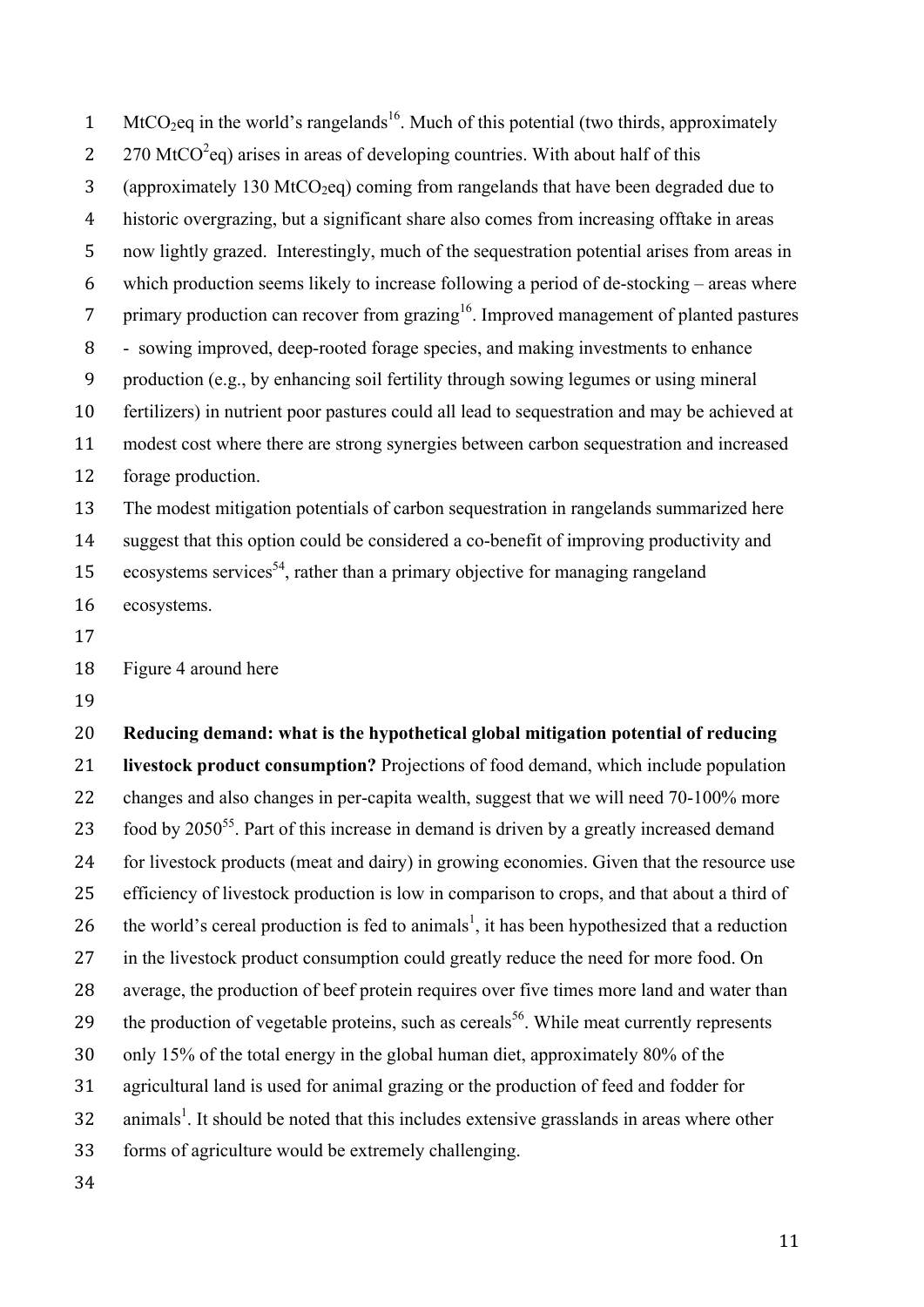1 MtCO<sub>2</sub>eq in the world's rangelands<sup>16</sup>. Much of this potential (two thirds, approximately 270 MtCO<sup>2</sup> eq) arises in areas of developing countries. With about half of this 3 (approximately 130 MtCO<sub>2</sub>eq) coming from rangelands that have been degraded due to historic overgrazing, but a significant share also comes from increasing offtake in areas now lightly grazed. Interestingly, much of the sequestration potential arises from areas in which production seems likely to increase following a period of de-stocking – areas where 7 primary production can recover from grazing . Improved management of planted pastures - sowing improved, deep-rooted forage species, and making investments to enhance production (e.g., by enhancing soil fertility through sowing legumes or using mineral fertilizers) in nutrient poor pastures could all lead to sequestration and may be achieved at modest cost where there are strong synergies between carbon sequestration and increased forage production. The modest mitigation potentials of carbon sequestration in rangelands summarized here suggest that this option could be considered a co-benefit of improving productivity and 15 ecosystems services<sup>54</sup>, rather than a primary objective for managing rangeland

ecosystems.

Figure 4 around here

 **Reducing demand: what is the hypothetical global mitigation potential of reducing livestock product consumption?** Projections of food demand, which include population 22 changes and also changes in per-capita wealth, suggest that we will need 70-100% more 23 . food by  $2050^{55}$ . Part of this increase in demand is driven by a greatly increased demand for livestock products (meat and dairy) in growing economies. Given that the resource use 25 efficiency of livestock production is low in comparison to crops, and that about a third of 26 the world's cereal production is fed to animals<sup>1</sup>, it has been hypothesized that a reduction in the livestock product consumption could greatly reduce the need for more food. On average, the production of beef protein requires over five times more land and water than the production of vegetable proteins, such as cereals<sup>56</sup>. While meat currently represents only 15% of the total energy in the global human diet, approximately 80% of the agricultural land is used for animal grazing or the production of feed and fodder for animals<sup>1</sup>. It should be noted that this includes extensive grasslands in areas where other forms of agriculture would be extremely challenging.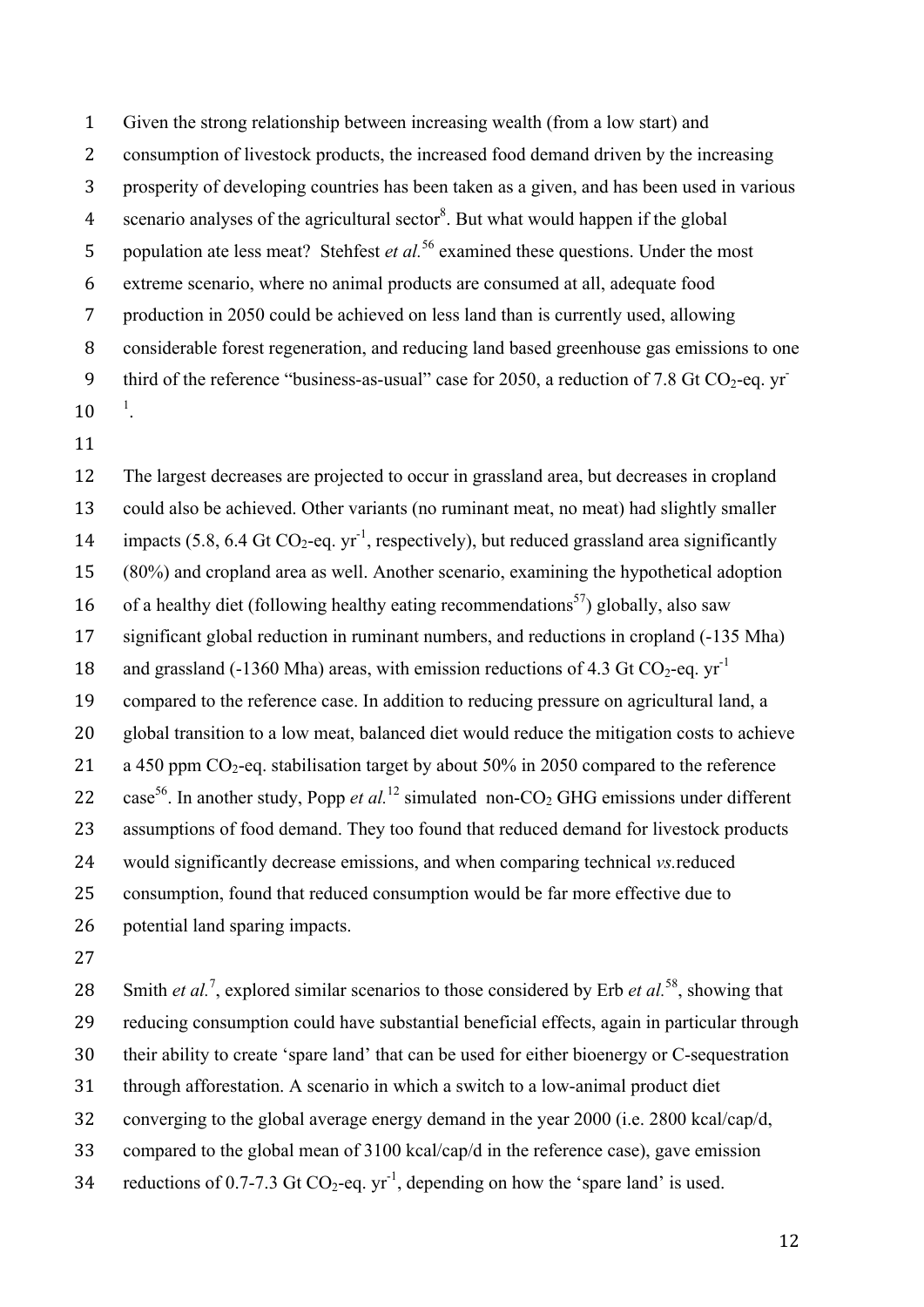Given the strong relationship between increasing wealth (from a low start) and consumption of livestock products, the increased food demand driven by the increasing prosperity of developing countries has been taken as a given, and has been used in various 4 scenario analyses of the agricultural sector<sup>8</sup>. But what would happen if the global 5 population ate less meat? Stehfest *et al.*<sup>56</sup> examined these questions. Under the most extreme scenario, where no animal products are consumed at all, adequate food production in 2050 could be achieved on less land than is currently used, allowing considerable forest regeneration, and reducing land based greenhouse gas emissions to one 9 third of the reference "business-as-usual" case for 2050, a reduction of 7.8 Gt  $CO<sub>2</sub>$ -eq. yr- $10^{-1}$ .

 The largest decreases are projected to occur in grassland area, but decreases in cropland could also be achieved. Other variants (no ruminant meat, no meat) had slightly smaller 14 impacts (5.8, 6.4 Gt CO<sub>2</sub>-eq. yr<sup>-1</sup>, respectively), but reduced grassland area significantly (80%) and cropland area as well. Another scenario, examining the hypothetical adoption 16 of a healthy diet (following healthy eating recommendations<sup>57</sup>) globally, also saw significant global reduction in ruminant numbers, and reductions in cropland (-135 Mha) 18 and grassland (-1360 Mha) areas, with emission reductions of 4.3 Gt CO<sub>2</sub>-eq. yr<sup>-1</sup> compared to the reference case. In addition to reducing pressure on agricultural land, a global transition to a low meat, balanced diet would reduce the mitigation costs to achieve 21 a 450 ppm  $CO_2$ -eq. stabilisation target by about 50% in 2050 compared to the reference 22 case<sup>56</sup>. In another study, Popp *et al.*<sup>12</sup> simulated non-CO<sub>2</sub> GHG emissions under different 23 assumptions of food demand. They too found that reduced demand for livestock products would significantly decrease emissions, and when comparing technical *vs.*reduced consumption, found that reduced consumption would be far more effective due to potential land sparing impacts.

28 Smith *et al.*<sup>7</sup>, explored similar scenarios to those considered by Erb *et al.*<sup>58</sup>, showing that reducing consumption could have substantial beneficial effects, again in particular through their ability to create 'spare land' that can be used for either bioenergy or C-sequestration through afforestation. A scenario in which a switch to a low-animal product diet converging to the global average energy demand in the year 2000 (i.e. 2800 kcal/cap/d, compared to the global mean of 3100 kcal/cap/d in the reference case), gave emission 34 reductions of 0.7-7.3 Gt  $CO_2$ -eq. yr<sup>-1</sup>, depending on how the 'spare land' is used.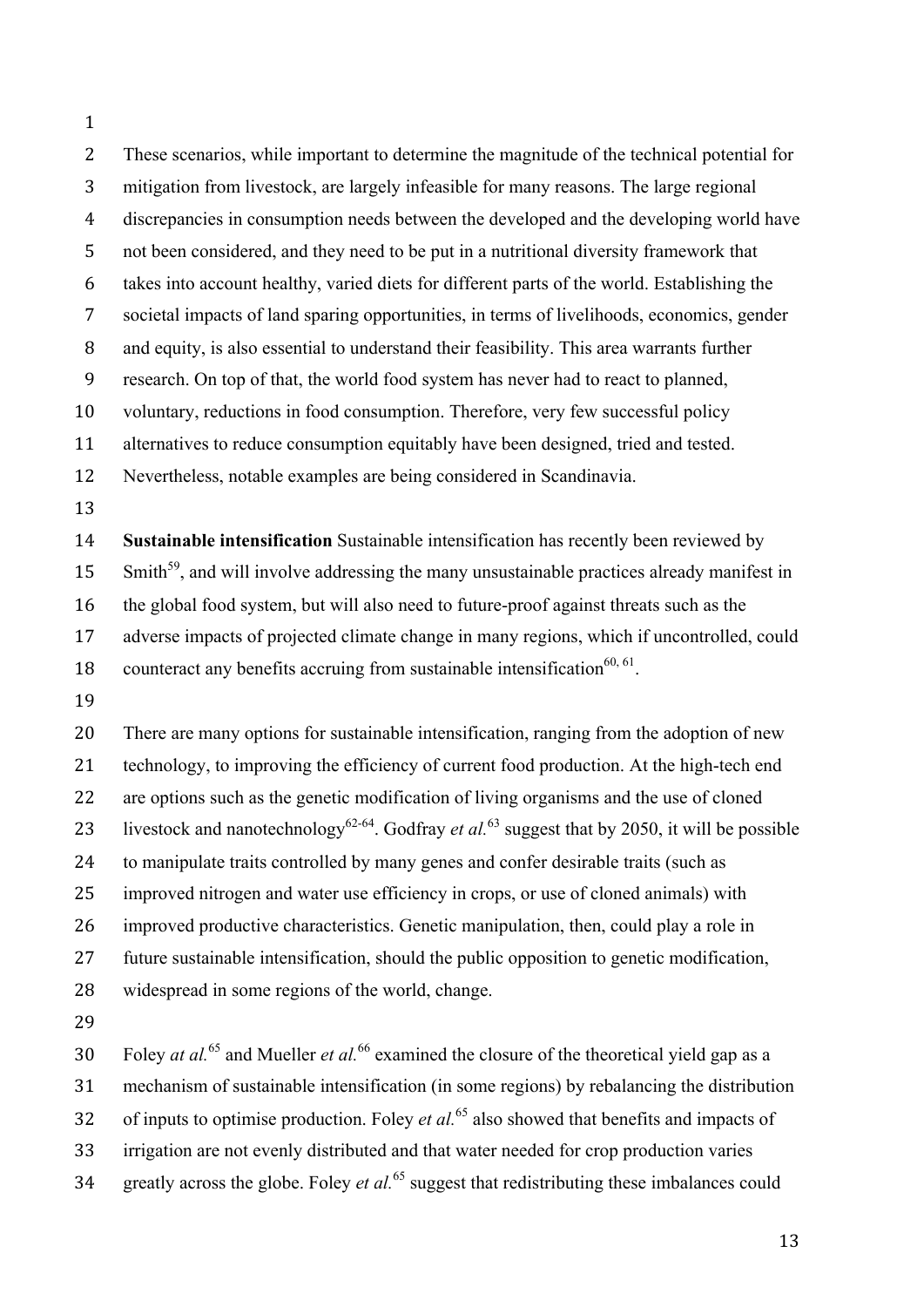These scenarios, while important to determine the magnitude of the technical potential for mitigation from livestock, are largely infeasible for many reasons. The large regional discrepancies in consumption needs between the developed and the developing world have not been considered, and they need to be put in a nutritional diversity framework that takes into account healthy, varied diets for different parts of the world. Establishing the societal impacts of land sparing opportunities, in terms of livelihoods, economics, gender and equity, is also essential to understand their feasibility. This area warrants further research. On top of that, the world food system has never had to react to planned, voluntary, reductions in food consumption. Therefore, very few successful policy alternatives to reduce consumption equitably have been designed, tried and tested. Nevertheless, notable examples are being considered in Scandinavia. **Sustainable intensification** Sustainable intensification has recently been reviewed by Smith<sup>59</sup>, and will involve addressing the many unsustainable practices already manifest in the global food system, but will also need to future-proof against threats such as the adverse impacts of projected climate change in many regions, which if uncontrolled, could 18 counteract any benefits accruing from sustainable intensification<sup>60, 61</sup>. There are many options for sustainable intensification, ranging from the adoption of new technology, to improving the efficiency of current food production. At the high-tech end 22 are options such as the genetic modification of living organisms and the use of cloned 23 livestock and nanotechnology<sup>62-64</sup>. Godfray *et al.*<sup>63</sup> suggest that by 2050, it will be possible to manipulate traits controlled by many genes and confer desirable traits (such as improved nitrogen and water use efficiency in crops, or use of cloned animals) with improved productive characteristics. Genetic manipulation, then, could play a role in

future sustainable intensification, should the public opposition to genetic modification,

widespread in some regions of the world, change.

Foley *at al.*<sup>65</sup> and Mueller *et al.*<sup>66</sup> examined the closure of the theoretical yield gap as a mechanism of sustainable intensification (in some regions) by rebalancing the distribution 32 of inputs to optimise production. Foley *et al.*<sup>65</sup> also showed that benefits and impacts of irrigation are not evenly distributed and that water needed for crop production varies 34 greatly across the globe. Foley *et al.*<sup>65</sup> suggest that redistributing these imbalances could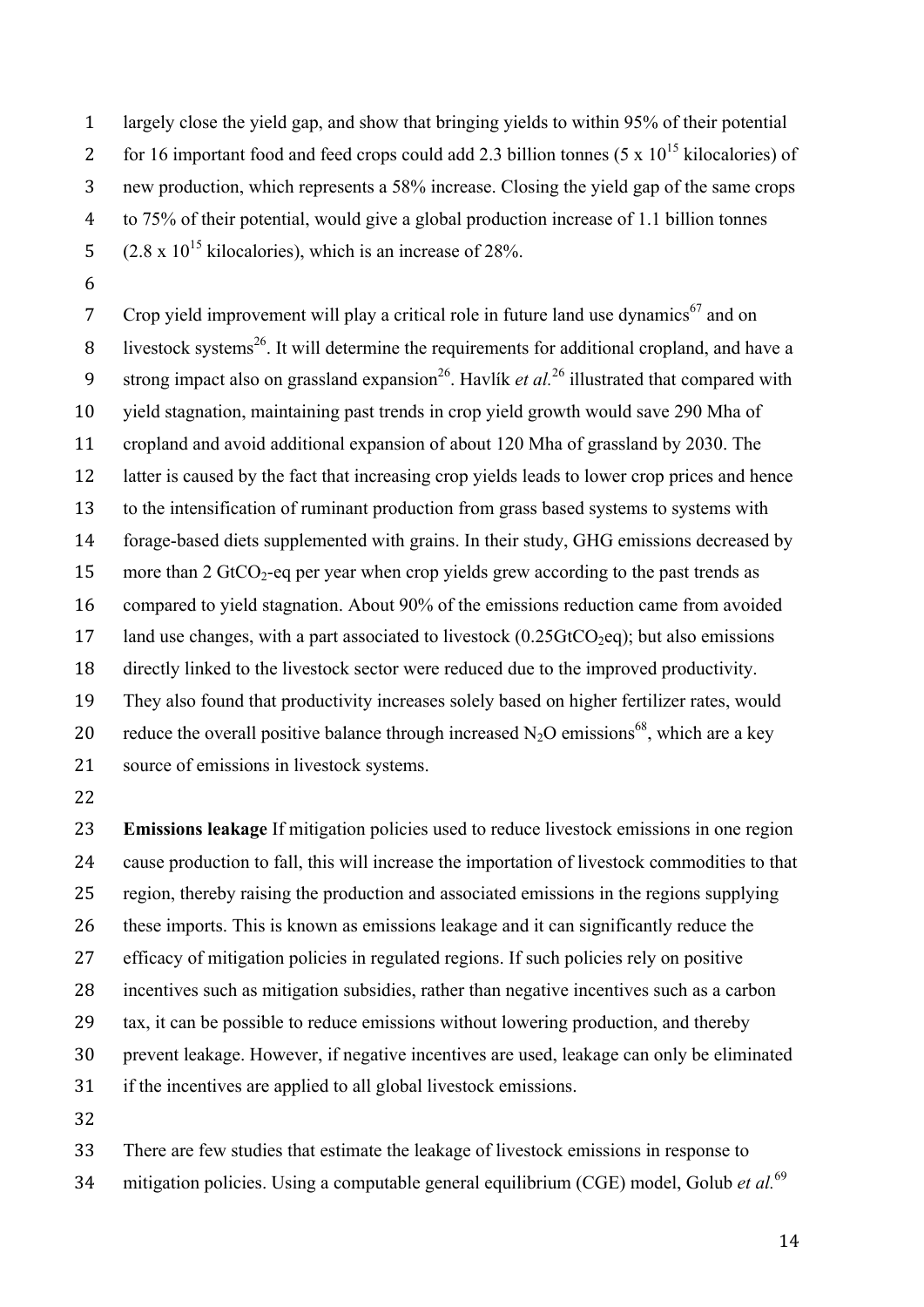largely close the yield gap, and show that bringing yields to within 95% of their potential for 16 important food and feed crops could add 2.3 billion tonnes (5 x  $10^{15}$  kilocalories) of new production, which represents a 58% increase. Closing the yield gap of the same crops to 75% of their potential, would give a global production increase of 1.1 billion tonnes  $(2.8 \times 10^{15} \text{ kilocalories})$ , which is an increase of 28%.

Crop yield improvement will play a critical role in future land use dynamics<sup>67</sup> and on 8 livestock systems<sup>26</sup>. It will determine the requirements for additional cropland, and have a 9 strong impact also on grassland expansion<sup>26</sup>. Havlík *et al.*<sup>26</sup> illustrated that compared with yield stagnation, maintaining past trends in crop yield growth would save 290 Mha of cropland and avoid additional expansion of about 120 Mha of grassland by 2030. The latter is caused by the fact that increasing crop yields leads to lower crop prices and hence to the intensification of ruminant production from grass based systems to systems with forage-based diets supplemented with grains. In their study, GHG emissions decreased by 15 more than 2 GtCO<sub>2</sub>-eq per year when crop yields grew according to the past trends as compared to yield stagnation. About 90% of the emissions reduction came from avoided 17 land use changes, with a part associated to livestock  $(0.25 \text{GtCO}_2 \text{eq})$ ; but also emissions directly linked to the livestock sector were reduced due to the improved productivity. They also found that productivity increases solely based on higher fertilizer rates, would 20 reduce the overall positive balance through increased  $N_2O$  emissions<sup>68</sup>, which are a key source of emissions in livestock systems.

 **Emissions leakage** If mitigation policies used to reduce livestock emissions in one region cause production to fall, this will increase the importation of livestock commodities to that region, thereby raising the production and associated emissions in the regions supplying these imports. This is known as emissions leakage and it can significantly reduce the efficacy of mitigation policies in regulated regions. If such policies rely on positive incentives such as mitigation subsidies, rather than negative incentives such as a carbon tax, it can be possible to reduce emissions without lowering production, and thereby prevent leakage. However, if negative incentives are used, leakage can only be eliminated if the incentives are applied to all global livestock emissions. 

 There are few studies that estimate the leakage of livestock emissions in response to 34 mitigation policies. Using a computable general equilibrium (CGE) model, Golub *et al.*<sup>69</sup>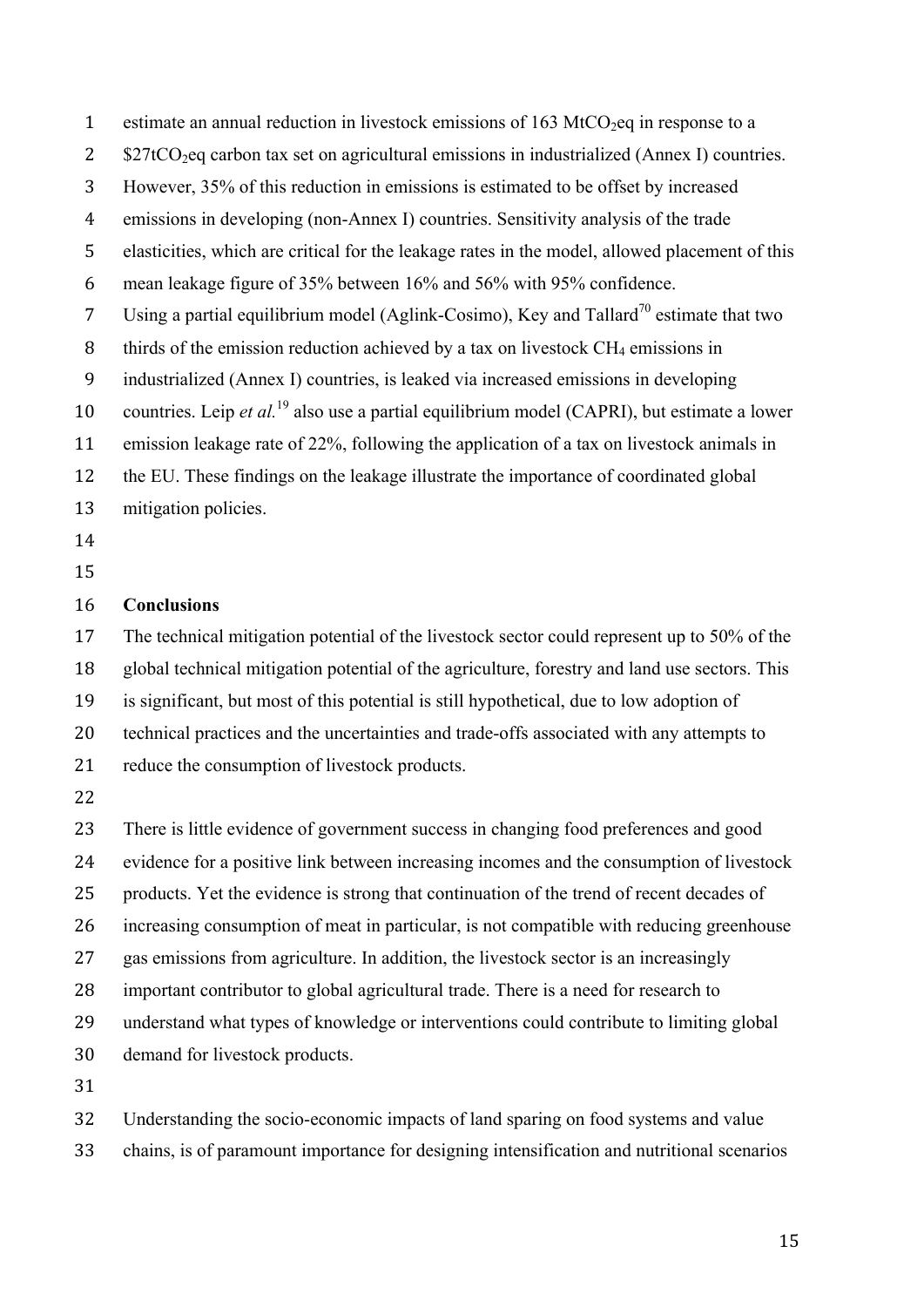1 estimate an annual reduction in livestock emissions of  $163 \text{ MtCO}_2$ eq in response to a

2 \$27tCO<sub>2</sub>eq carbon tax set on agricultural emissions in industrialized (Annex I) countries.

However, 35% of this reduction in emissions is estimated to be offset by increased

emissions in developing (non-Annex I) countries. Sensitivity analysis of the trade

elasticities, which are critical for the leakage rates in the model, allowed placement of this

mean leakage figure of 35% between 16% and 56% with 95% confidence.

7 Using a partial equilibrium model (Aglink-Cosimo), Key and Tallard<sup>70</sup> estimate that two

- 8 thirds of the emission reduction achieved by a tax on livestock  $CH_4$  emissions in
- industrialized (Annex I) countries, is leaked via increased emissions in developing

10 countries. Leip *et al.*<sup>19</sup> also use a partial equilibrium model (CAPRI), but estimate a lower

emission leakage rate of 22%, following the application of a tax on livestock animals in

- the EU. These findings on the leakage illustrate the importance of coordinated global
- mitigation policies.
- 
- 

## **Conclusions**

The technical mitigation potential of the livestock sector could represent up to 50% of the

global technical mitigation potential of the agriculture, forestry and land use sectors. This

- is significant, but most of this potential is still hypothetical, due to low adoption of
- technical practices and the uncertainties and trade-offs associated with any attempts to
- reduce the consumption of livestock products.

 There is little evidence of government success in changing food preferences and good evidence for a positive link between increasing incomes and the consumption of livestock products. Yet the evidence is strong that continuation of the trend of recent decades of increasing consumption of meat in particular, is not compatible with reducing greenhouse gas emissions from agriculture. In addition, the livestock sector is an increasingly important contributor to global agricultural trade. There is a need for research to understand what types of knowledge or interventions could contribute to limiting global demand for livestock products. 

 Understanding the socio-economic impacts of land sparing on food systems and value chains, is of paramount importance for designing intensification and nutritional scenarios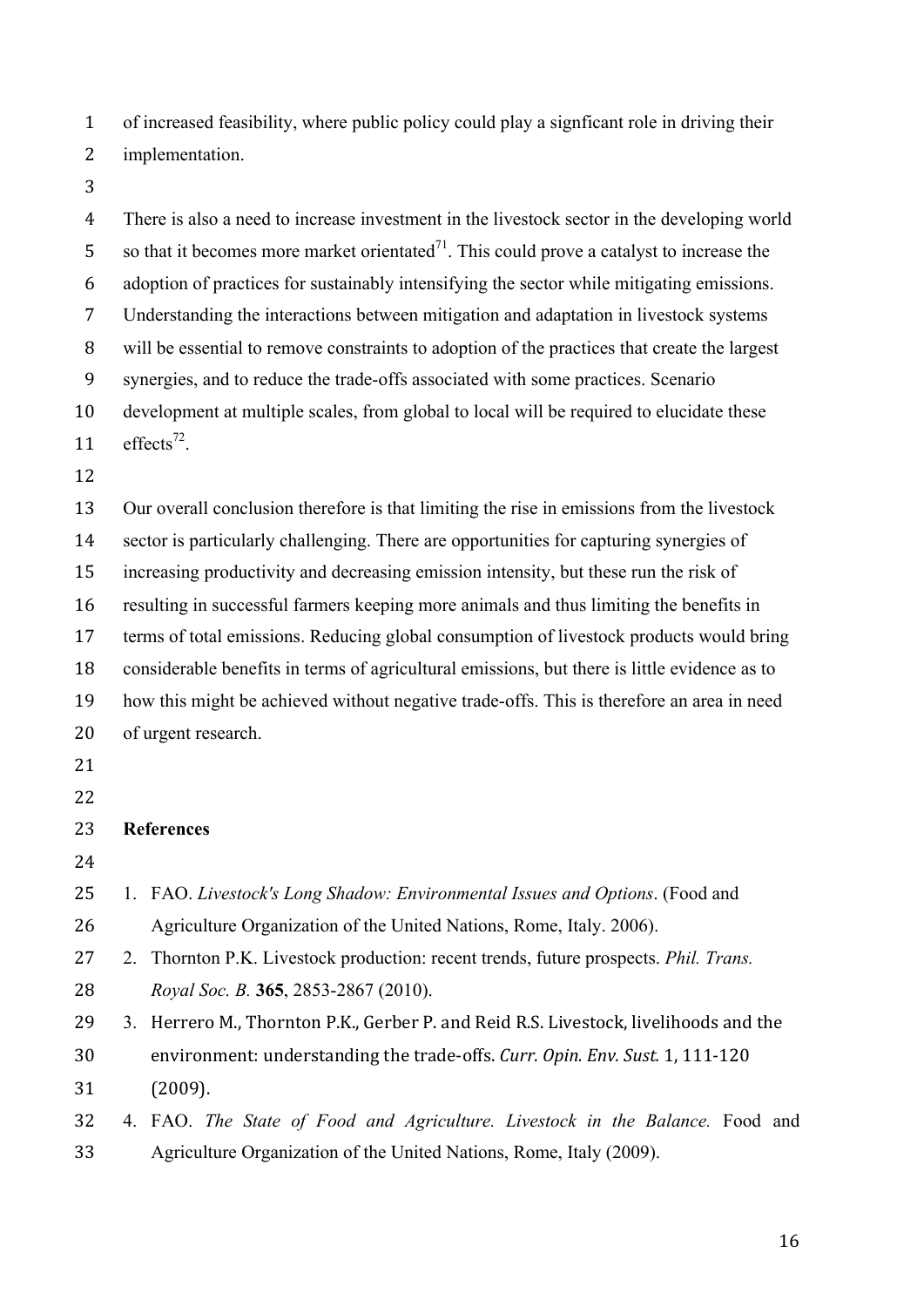of increased feasibility, where public policy could play a signficant role in driving their

implementation.

 There is also a need to increase investment in the livestock sector in the developing world 5 so that it becomes more market orientated<sup> $71$ </sup>. This could prove a catalyst to increase the adoption of practices for sustainably intensifying the sector while mitigating emissions. Understanding the interactions between mitigation and adaptation in livestock systems will be essential to remove constraints to adoption of the practices that create the largest synergies, and to reduce the trade-offs associated with some practices. Scenario development at multiple scales, from global to local will be required to elucidate these  $\text{effects}^{72}$ . Our overall conclusion therefore is that limiting the rise in emissions from the livestock sector is particularly challenging. There are opportunities for capturing synergies of increasing productivity and decreasing emission intensity, but these run the risk of resulting in successful farmers keeping more animals and thus limiting the benefits in terms of total emissions. Reducing global consumption of livestock products would bring considerable benefits in terms of agricultural emissions, but there is little evidence as to how this might be achieved without negative trade-offs. This is therefore an area in need of urgent research. **References** 1. FAO. *Livestock's Long Shadow: Environmental Issues and Options*. (Food and Agriculture Organization of the United Nations, Rome, Italy. 2006). 2. Thornton P.K. Livestock production: recent trends, future prospects. *Phil. Trans. Royal Soc. B.* **365**, 2853-2867 (2010). 29 3. Herrero M., Thornton P.K., Gerber P. and Reid R.S. Livestock, livelihoods and the 30 environment: understanding the trade-offs. *Curr. Opin. Env. Sust.* 1, 111-120 (2009).

 4. FAO. *The State of Food and Agriculture. Livestock in the Balance.* Food and Agriculture Organization of the United Nations, Rome, Italy (2009).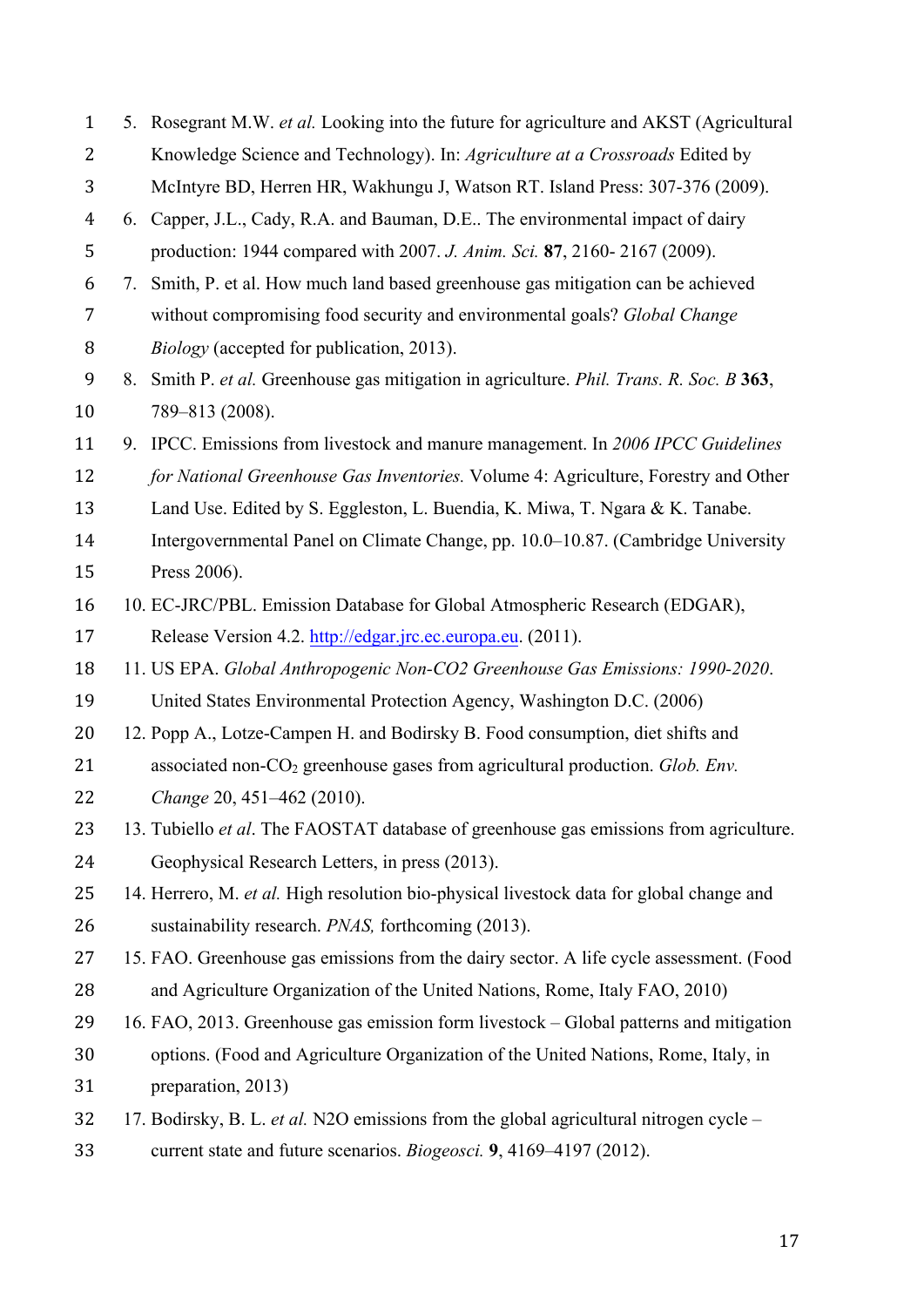| $\mathbf{1}$   |                                                                                         | 5. Rosegrant M.W. et al. Looking into the future for agriculture and AKST (Agricultural      |  |  |
|----------------|-----------------------------------------------------------------------------------------|----------------------------------------------------------------------------------------------|--|--|
| 2              |                                                                                         | Knowledge Science and Technology). In: Agriculture at a Crossroads Edited by                 |  |  |
| 3              |                                                                                         | McIntyre BD, Herren HR, Wakhungu J, Watson RT. Island Press: 307-376 (2009).                 |  |  |
| $\overline{4}$ |                                                                                         | 6. Capper, J.L., Cady, R.A. and Bauman, D.E The environmental impact of dairy                |  |  |
| 5              |                                                                                         | production: 1944 compared with 2007. J. Anim. Sci. 87, 2160-2167 (2009).                     |  |  |
| 6              | 7.                                                                                      | Smith, P. et al. How much land based greenhouse gas mitigation can be achieved               |  |  |
| $\overline{7}$ | without compromising food security and environmental goals? Global Change               |                                                                                              |  |  |
| 8              |                                                                                         | <i>Biology</i> (accepted for publication, 2013).                                             |  |  |
| 9              | 8.                                                                                      | Smith P. et al. Greenhouse gas mitigation in agriculture. <i>Phil. Trans. R. Soc. B</i> 363, |  |  |
| 10             |                                                                                         | 789-813 (2008).                                                                              |  |  |
| 11             |                                                                                         | 9. IPCC. Emissions from livestock and manure management. In 2006 IPCC Guidelines             |  |  |
| 12             |                                                                                         | for National Greenhouse Gas Inventories. Volume 4: Agriculture, Forestry and Other           |  |  |
| 13             |                                                                                         | Land Use. Edited by S. Eggleston, L. Buendia, K. Miwa, T. Ngara & K. Tanabe.                 |  |  |
| 14             | Intergovernmental Panel on Climate Change, pp. 10.0–10.87. (Cambridge University        |                                                                                              |  |  |
| 15             | Press 2006).                                                                            |                                                                                              |  |  |
| 16             | 10. EC-JRC/PBL. Emission Database for Global Atmospheric Research (EDGAR),              |                                                                                              |  |  |
| 17             | Release Version 4.2. http://edgar.jrc.ec.europa.eu. (2011).                             |                                                                                              |  |  |
| 18             | 11. US EPA. Global Anthropogenic Non-CO2 Greenhouse Gas Emissions: 1990-2020.           |                                                                                              |  |  |
| 19             | United States Environmental Protection Agency, Washington D.C. (2006)                   |                                                                                              |  |  |
| 20             | 12. Popp A., Lotze-Campen H. and Bodirsky B. Food consumption, diet shifts and          |                                                                                              |  |  |
| 21             | associated non- $CO2$ greenhouse gases from agricultural production. Glob. Env.         |                                                                                              |  |  |
| 22             | Change 20, 451-462 (2010).                                                              |                                                                                              |  |  |
| 23             |                                                                                         | 13. Tubiello et al. The FAOSTAT database of greenhouse gas emissions from agriculture.       |  |  |
| 24             | Geophysical Research Letters, in press (2013).                                          |                                                                                              |  |  |
| 25             |                                                                                         | 14. Herrero, M. et al. High resolution bio-physical livestock data for global change and     |  |  |
| 26             | sustainability research. <i>PNAS</i> , forthcoming (2013).                              |                                                                                              |  |  |
| 27             | 15. FAO. Greenhouse gas emissions from the dairy sector. A life cycle assessment. (Food |                                                                                              |  |  |
| 28             | and Agriculture Organization of the United Nations, Rome, Italy FAO, 2010)              |                                                                                              |  |  |
| 29             | 16. FAO, 2013. Greenhouse gas emission form livestock - Global patterns and mitigation  |                                                                                              |  |  |
| 30             | options. (Food and Agriculture Organization of the United Nations, Rome, Italy, in      |                                                                                              |  |  |
| 31             |                                                                                         | preparation, 2013)                                                                           |  |  |
| 32             | 17. Bodirsky, B. L. et al. N2O emissions from the global agricultural nitrogen cycle –  |                                                                                              |  |  |
| 33             |                                                                                         | current state and future scenarios. Biogeosci. 9, 4169-4197 (2012).                          |  |  |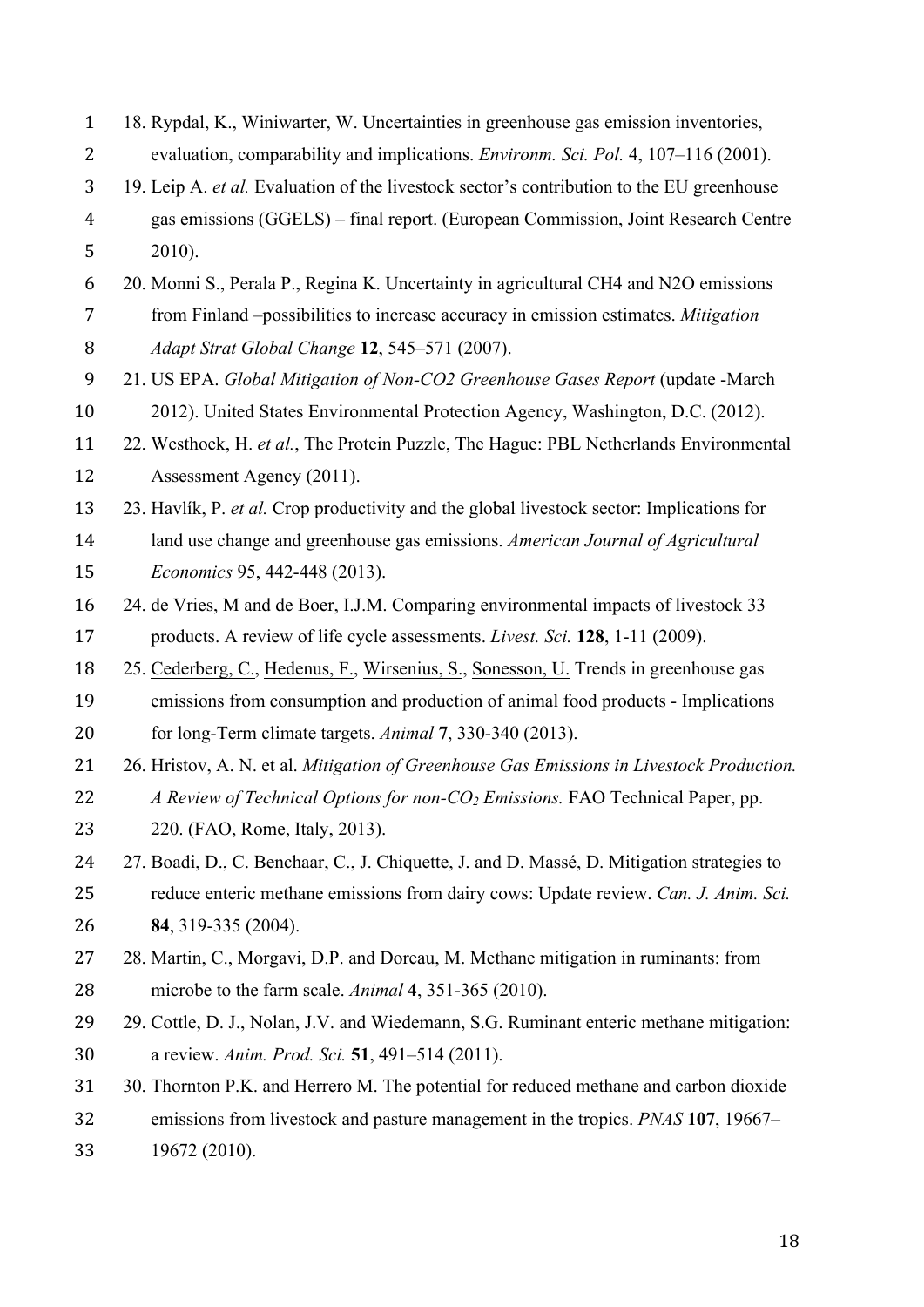| $\mathbf{1}$   | 18. Rypdal, K., Winiwarter, W. Uncertainties in greenhouse gas emission inventories,       |  |  |
|----------------|--------------------------------------------------------------------------------------------|--|--|
| $\overline{2}$ | evaluation, comparability and implications. Environm. Sci. Pol. 4, 107-116 (2001).         |  |  |
| 3              | 19. Leip A. et al. Evaluation of the livestock sector's contribution to the EU greenhouse  |  |  |
| $\overline{4}$ | gas emissions (GGELS) - final report. (European Commission, Joint Research Centre          |  |  |
| 5              | $2010$ ).                                                                                  |  |  |
| 6              | 20. Monni S., Perala P., Regina K. Uncertainty in agricultural CH4 and N2O emissions       |  |  |
| $\overline{7}$ | from Finland -possibilities to increase accuracy in emission estimates. Mitigation         |  |  |
| 8              | Adapt Strat Global Change 12, 545-571 (2007).                                              |  |  |
| 9              | 21. US EPA. Global Mitigation of Non-CO2 Greenhouse Gases Report (update -March            |  |  |
| 10             | 2012). United States Environmental Protection Agency, Washington, D.C. (2012).             |  |  |
| 11             | 22. Westhoek, H. et al., The Protein Puzzle, The Hague: PBL Netherlands Environmental      |  |  |
| 12             | Assessment Agency (2011).                                                                  |  |  |
| 13             | 23. Havlík, P. et al. Crop productivity and the global livestock sector: Implications for  |  |  |
| 14             | land use change and greenhouse gas emissions. American Journal of Agricultural             |  |  |
| 15             | Economics 95, 442-448 (2013).                                                              |  |  |
| 16             | 24. de Vries, M and de Boer, I.J.M. Comparing environmental impacts of livestock 33        |  |  |
| 17             | products. A review of life cycle assessments. Livest. Sci. 128, 1-11 (2009).               |  |  |
| 18             | 25. Cederberg, C., Hedenus, F., Wirsenius, S., Sonesson, U. Trends in greenhouse gas       |  |  |
| 19             | emissions from consumption and production of animal food products - Implications           |  |  |
| 20             | for long-Term climate targets. Animal 7, 330-340 (2013).                                   |  |  |
| 21             | 26. Hristov, A. N. et al. Mitigation of Greenhouse Gas Emissions in Livestock Production.  |  |  |
| 22             | A Review of Technical Options for non-CO <sub>2</sub> Emissions. FAO Technical Paper, pp.  |  |  |
| 23             | 220. (FAO, Rome, Italy, 2013).                                                             |  |  |
| 24             | 27. Boadi, D., C. Benchaar, C., J. Chiquette, J. and D. Massé, D. Mitigation strategies to |  |  |
| 25             | reduce enteric methane emissions from dairy cows: Update review. Can. J. Anim. Sci.        |  |  |
| 26             | 84, 319-335 (2004).                                                                        |  |  |
| 27             | 28. Martin, C., Morgavi, D.P. and Doreau, M. Methane mitigation in ruminants: from         |  |  |
| 28             | microbe to the farm scale. Animal 4, 351-365 (2010).                                       |  |  |
| 29             | 29. Cottle, D. J., Nolan, J.V. and Wiedemann, S.G. Ruminant enteric methane mitigation:    |  |  |
| 30             | a review. Anim. Prod. Sci. 51, 491-514 (2011).                                             |  |  |
| 31             | 30. Thornton P.K. and Herrero M. The potential for reduced methane and carbon dioxide      |  |  |
| 32             | emissions from livestock and pasture management in the tropics. PNAS 107, 19667–           |  |  |
| 33             | 19672 (2010).                                                                              |  |  |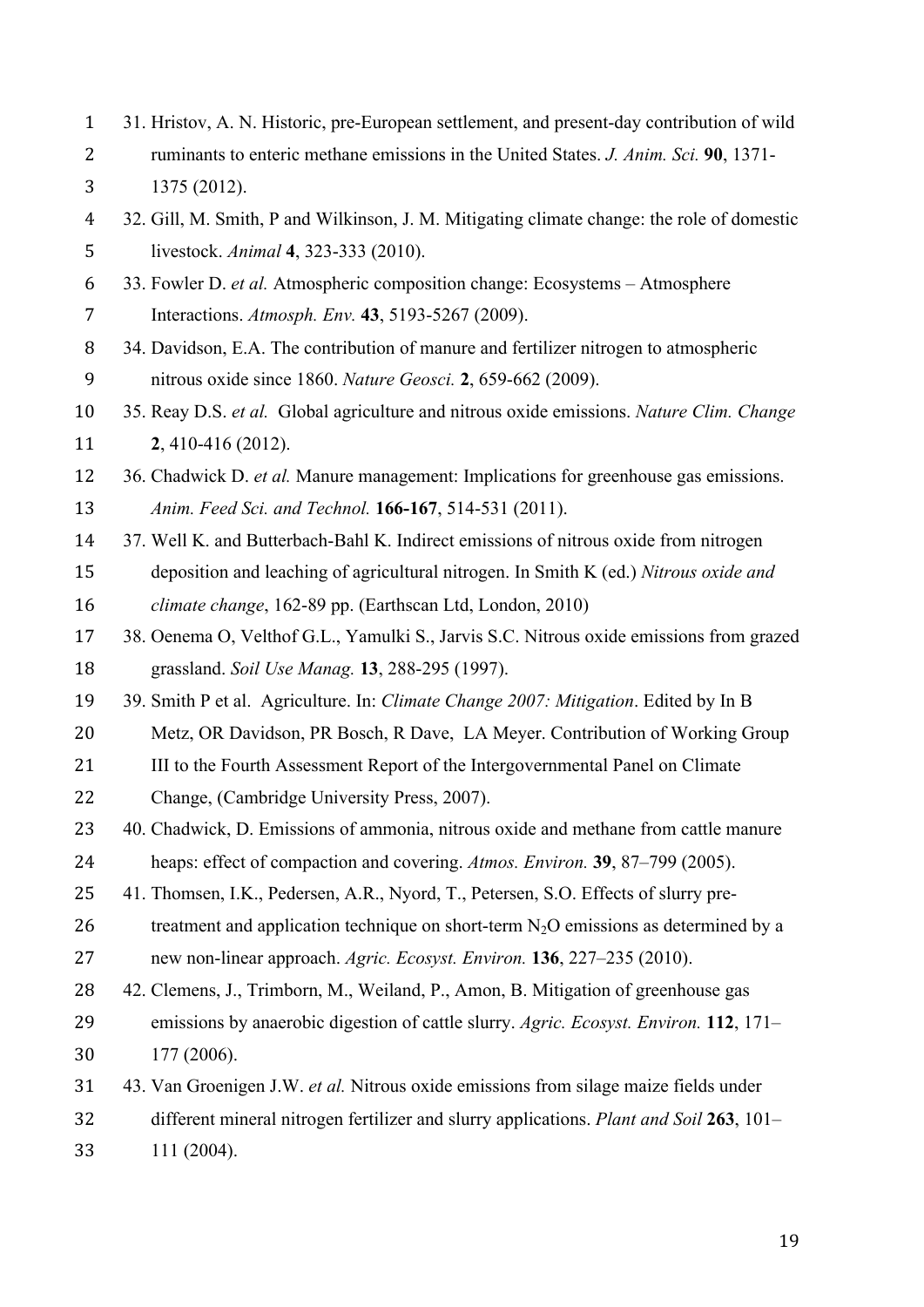31. Hristov, A. N. Historic, pre-European settlement, and present-day contribution of wild ruminants to enteric methane emissions in the United States. *J. Anim. Sci.* **90**, 1371- 1375 (2012).

 32. Gill, M. Smith, P and Wilkinson, J. M. Mitigating climate change: the role of domestic livestock. *Animal* **4**, 323-333 (2010).

 33. Fowler D. *et al.* Atmospheric composition change: Ecosystems – Atmosphere Interactions. *Atmosph. Env.* **43**, 5193-5267 (2009).

- 34. Davidson, E.A. The contribution of manure and fertilizer nitrogen to atmospheric nitrous oxide since 1860. *Nature Geosci.* **2**, 659-662 (2009).
- 35. Reay D.S. *et al.* Global agriculture and nitrous oxide emissions. *Nature Clim. Change* **2**, 410-416 (2012).
- 36. Chadwick D. *et al.* Manure management: Implications for greenhouse gas emissions.
- *Anim. Feed Sci. and Technol.* **166-167**, 514-531 (2011).
- 37. Well K. and Butterbach-Bahl K. Indirect emissions of nitrous oxide from nitrogen
- deposition and leaching of agricultural nitrogen. In Smith K (ed.) *Nitrous oxide and*
- *climate change*, 162-89 pp. (Earthscan Ltd, London, 2010)
- 38. Oenema O, Velthof G.L., Yamulki S., Jarvis S.C. Nitrous oxide emissions from grazed grassland. *Soil Use Manag.* **13**, 288-295 (1997).

39. Smith P et al. Agriculture. In: *Climate Change 2007: Mitigation*. Edited by In B

- Metz, OR Davidson, PR Bosch, R Dave, LA Meyer. Contribution of Working Group
- 21 III to the Fourth Assessment Report of the Intergovernmental Panel on Climate
- Change, (Cambridge University Press, 2007).
- 40. Chadwick, D. Emissions of ammonia, nitrous oxide and methane from cattle manure
- heaps: effect of compaction and covering. *Atmos. Environ.* **39**, 87–799 (2005).
- 41. Thomsen, I.K., Pedersen, A.R., Nyord, T., Petersen, S.O. Effects of slurry pre-
- 26 treatment and application technique on short-term  $N_2O$  emissions as determined by a
- new non-linear approach. *Agric. Ecosyst. Environ.* **136**, 227–235 (2010).
- 42. Clemens, J., Trimborn, M., Weiland, P., Amon, B. Mitigation of greenhouse gas emissions by anaerobic digestion of cattle slurry. *Agric. Ecosyst. Environ.* **112**, 171– 177 (2006).
- 43. Van Groenigen J.W. *et al.* Nitrous oxide emissions from silage maize fields under
- different mineral nitrogen fertilizer and slurry applications. *Plant and Soil* **263**, 101–
- 111 (2004).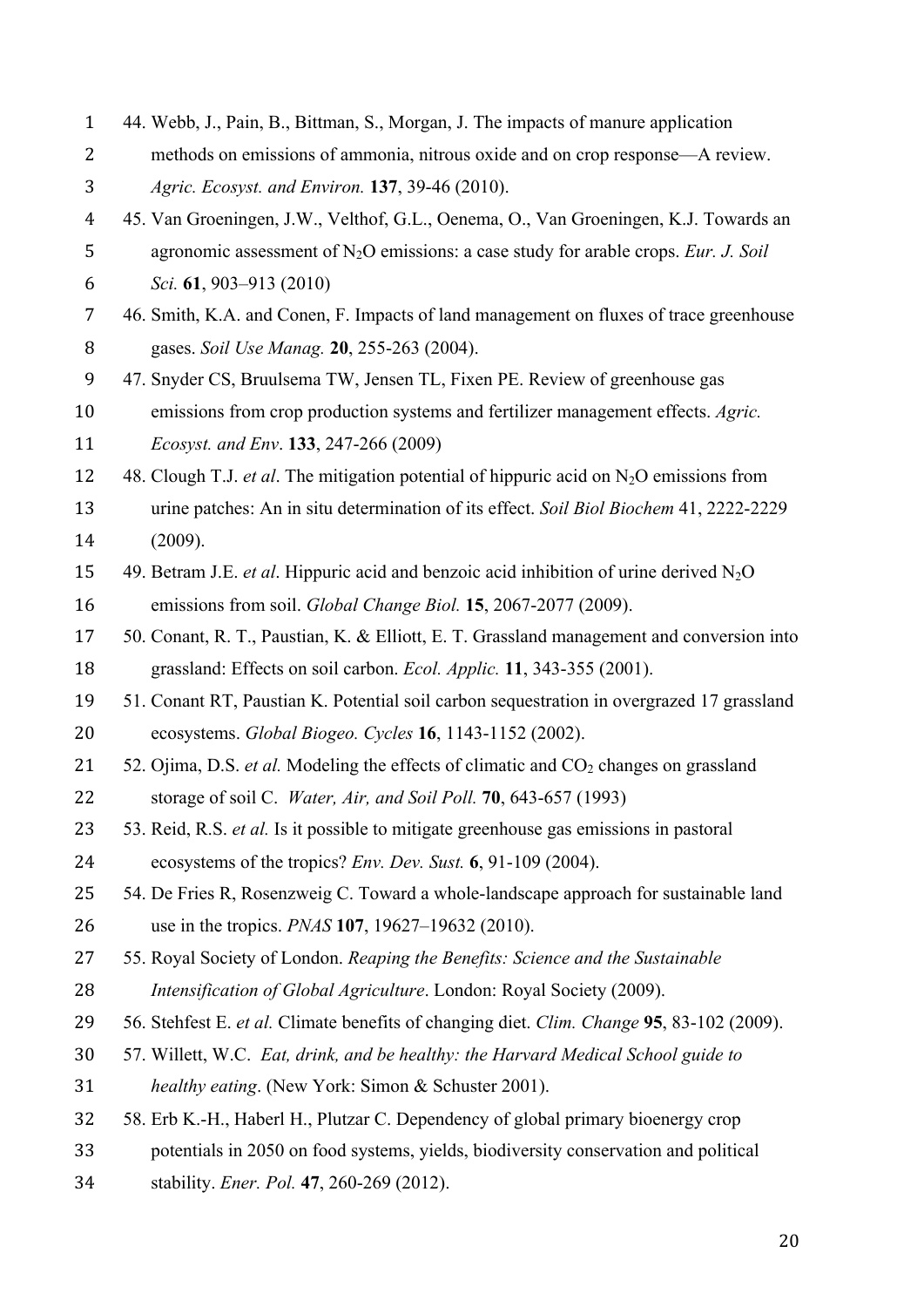| $\mathbf{1}$   | 44. Webb, J., Pain, B., Bittman, S., Morgan, J. The impacts of manure application                |  |
|----------------|--------------------------------------------------------------------------------------------------|--|
| 2              | methods on emissions of ammonia, nitrous oxide and on crop response—A review.                    |  |
| 3              | Agric. Ecosyst. and Environ. 137, 39-46 (2010).                                                  |  |
| $\overline{4}$ | 45. Van Groeningen, J.W., Velthof, G.L., Oenema, O., Van Groeningen, K.J. Towards an             |  |
| 5              | agronomic assessment of $N_2O$ emissions: a case study for arable crops. Eur. J. Soil            |  |
| 6              | Sci. 61, 903–913 (2010)                                                                          |  |
| 7              | 46. Smith, K.A. and Conen, F. Impacts of land management on fluxes of trace greenhouse           |  |
| 8              | gases. Soil Use Manag. 20, 255-263 (2004).                                                       |  |
| 9              | 47. Snyder CS, Bruulsema TW, Jensen TL, Fixen PE. Review of greenhouse gas                       |  |
| 10             | emissions from crop production systems and fertilizer management effects. Agric.                 |  |
| 11             | Ecosyst. and Env. 133, 247-266 (2009)                                                            |  |
| 12             | 48. Clough T.J. <i>et al.</i> The mitigation potential of hippuric acid on $N_2O$ emissions from |  |
| 13             | urine patches: An in situ determination of its effect. Soil Biol Biochem 41, 2222-2229           |  |
| 14             | (2009).                                                                                          |  |
| 15             | 49. Betram J.E. <i>et al.</i> Hippuric acid and benzoic acid inhibition of urine derived $N_2O$  |  |
| 16             | emissions from soil. Global Change Biol. 15, 2067-2077 (2009).                                   |  |
| 17             | 50. Conant, R. T., Paustian, K. & Elliott, E. T. Grassland management and conversion into        |  |
| 18             | grassland: Effects on soil carbon. Ecol. Applic. 11, 343-355 (2001).                             |  |
| 19             | 51. Conant RT, Paustian K. Potential soil carbon sequestration in overgrazed 17 grassland        |  |
| 20             | ecosystems. Global Biogeo. Cycles 16, 1143-1152 (2002).                                          |  |
| 21             | 52. Ojima, D.S. et al. Modeling the effects of climatic and CO <sub>2</sub> changes on grassland |  |
| 22             | storage of soil C. Water, Air, and Soil Poll. 70, 643-657 (1993)                                 |  |
| 23             | 53. Reid, R.S. et al. Is it possible to mitigate greenhouse gas emissions in pastoral            |  |
| 24             | ecosystems of the tropics? <i>Env. Dev. Sust.</i> 6, 91-109 (2004).                              |  |
| 25             | 54. De Fries R, Rosenzweig C. Toward a whole-landscape approach for sustainable land             |  |
| 26             | use in the tropics. <i>PNAS</i> 107, 19627–19632 (2010).                                         |  |
| 27             | 55. Royal Society of London. Reaping the Benefits: Science and the Sustainable                   |  |
| 28             | Intensification of Global Agriculture. London: Royal Society (2009).                             |  |
| 29             | 56. Stehfest E. et al. Climate benefits of changing diet. Clim. Change 95, 83-102 (2009).        |  |
| 30             | 57. Willett, W.C. Eat, drink, and be healthy: the Harvard Medical School guide to                |  |
| 31             | healthy eating. (New York: Simon & Schuster 2001).                                               |  |
| 32             | 58. Erb K.-H., Haberl H., Plutzar C. Dependency of global primary bioenergy crop                 |  |
| 33             | potentials in 2050 on food systems, yields, biodiversity conservation and political              |  |
| 34             | stability. Ener. Pol. 47, 260-269 (2012).                                                        |  |
|                |                                                                                                  |  |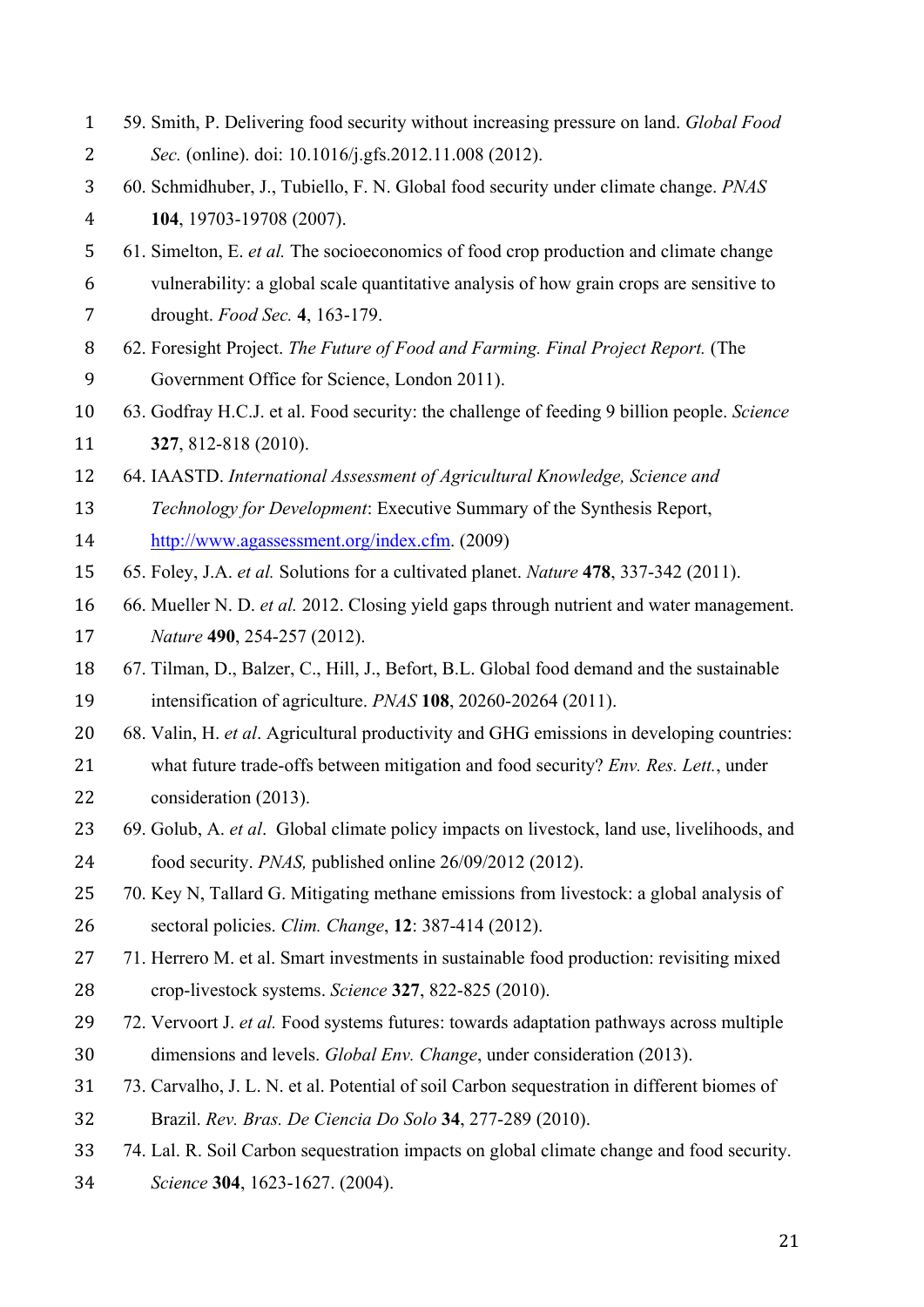| $\mathbf{1}$   | 59. Smith, P. Delivering food security without increasing pressure on land. Global Food     |  |
|----------------|---------------------------------------------------------------------------------------------|--|
| 2              | Sec. (online). doi: 10.1016/j.gfs.2012.11.008 (2012).                                       |  |
| 3              | 60. Schmidhuber, J., Tubiello, F. N. Global food security under climate change. PNAS        |  |
| $\overline{4}$ | 104, 19703-19708 (2007).                                                                    |  |
| 5              | 61. Simelton, E. et al. The socioeconomics of food crop production and climate change       |  |
| 6              | vulnerability: a global scale quantitative analysis of how grain crops are sensitive to     |  |
| 7              | drought. Food Sec. 4, 163-179.                                                              |  |
| 8              | 62. Foresight Project. The Future of Food and Farming. Final Project Report. (The           |  |
| 9              | Government Office for Science, London 2011).                                                |  |
| 10             | 63. Godfray H.C.J. et al. Food security: the challenge of feeding 9 billion people. Science |  |
| 11             | 327, 812-818 (2010).                                                                        |  |
| 12             | 64. IAASTD. International Assessment of Agricultural Knowledge, Science and                 |  |
| 13             | Technology for Development: Executive Summary of the Synthesis Report,                      |  |
| 14             | http://www.agassessment.org/index.cfm. (2009)                                               |  |
| 15             | 65. Foley, J.A. et al. Solutions for a cultivated planet. Nature 478, 337-342 (2011).       |  |
| 16             | 66. Mueller N. D. et al. 2012. Closing yield gaps through nutrient and water management.    |  |
| 17             | Nature 490, 254-257 (2012).                                                                 |  |
| 18             | 67. Tilman, D., Balzer, C., Hill, J., Befort, B.L. Global food demand and the sustainable   |  |
| 19             | intensification of agriculture. <i>PNAS</i> <b>108</b> , 20260-20264 (2011).                |  |
| 20             | 68. Valin, H. et al. Agricultural productivity and GHG emissions in developing countries:   |  |
| 21             | what future trade-offs between mitigation and food security? Env. Res. Lett., under         |  |
| 22             | consideration (2013).                                                                       |  |
| 23             | 69. Golub, A. et al. Global climate policy impacts on livestock, land use, livelihoods, and |  |
| 24             | food security. <i>PNAS</i> , published online 26/09/2012 (2012).                            |  |
| 25             | 70. Key N, Tallard G. Mitigating methane emissions from livestock: a global analysis of     |  |
| 26             | sectoral policies. Clim. Change, 12: 387-414 (2012).                                        |  |
| 27             | 71. Herrero M. et al. Smart investments in sustainable food production: revisiting mixed    |  |
| 28             | crop-livestock systems. Science 327, 822-825 (2010).                                        |  |
| 29             | 72. Vervoort J. et al. Food systems futures: towards adaptation pathways across multiple    |  |
| 30             | dimensions and levels. <i>Global Env. Change</i> , under consideration (2013).              |  |
| 31             | 73. Carvalho, J. L. N. et al. Potential of soil Carbon sequestration in different biomes of |  |
| 32             | Brazil. Rev. Bras. De Ciencia Do Solo 34, 277-289 (2010).                                   |  |
| 33             | 74. Lal. R. Soil Carbon sequestration impacts on global climate change and food security.   |  |
| 34             | Science 304, 1623-1627. (2004).                                                             |  |
|                |                                                                                             |  |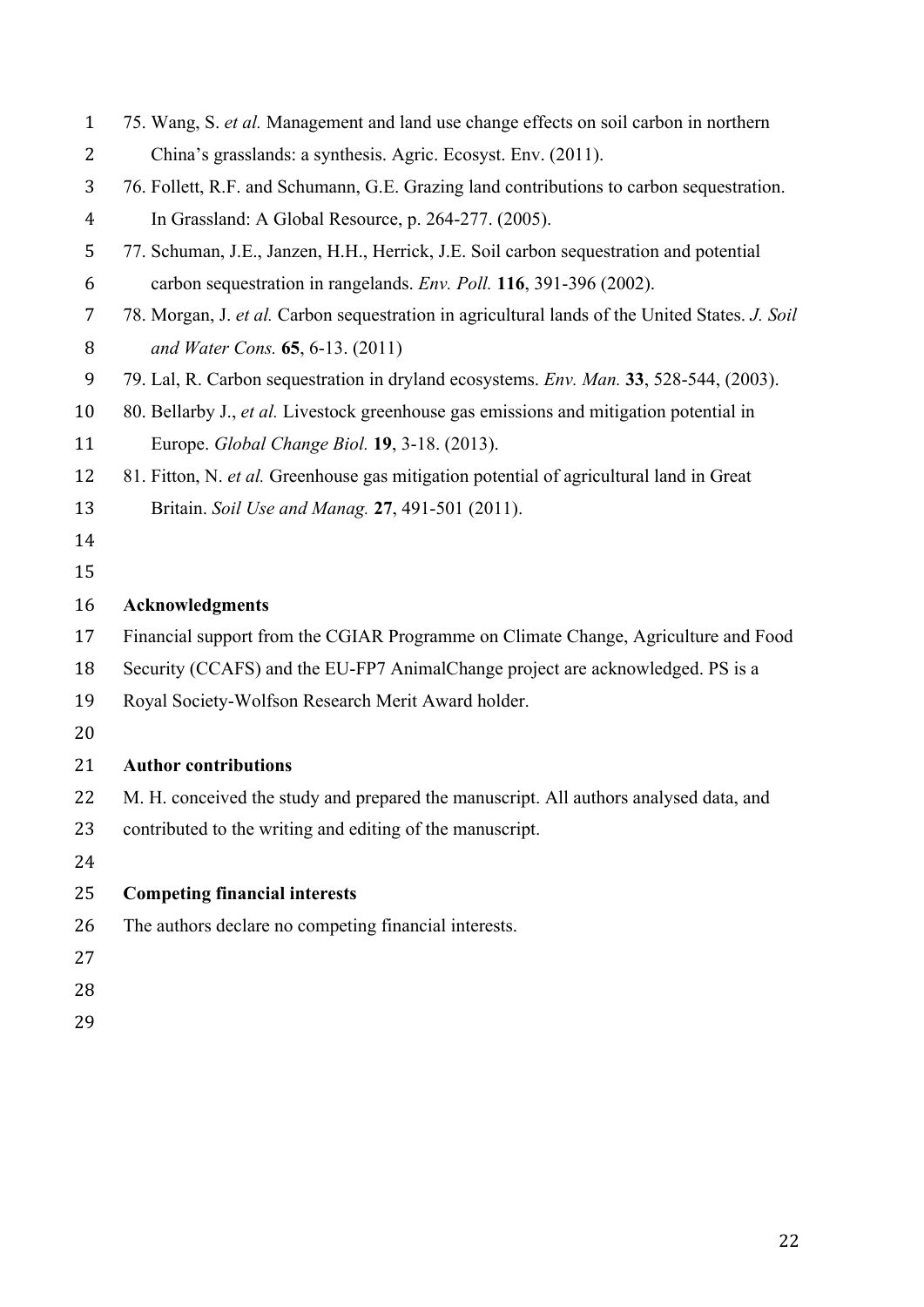| $\mathbf{1}$   | 75. Wang, S. et al. Management and land use change effects on soil carbon in northern          |  |  |
|----------------|------------------------------------------------------------------------------------------------|--|--|
| 2              | China's grasslands: a synthesis. Agric. Ecosyst. Env. (2011).                                  |  |  |
| 3              | 76. Follett, R.F. and Schumann, G.E. Grazing land contributions to carbon sequestration.       |  |  |
| $\overline{4}$ | In Grassland: A Global Resource, p. 264-277. (2005).                                           |  |  |
| 5              | 77. Schuman, J.E., Janzen, H.H., Herrick, J.E. Soil carbon sequestration and potential         |  |  |
| 6              | carbon sequestration in rangelands. Env. Poll. 116, 391-396 (2002).                            |  |  |
| 7              | 78. Morgan, J. et al. Carbon sequestration in agricultural lands of the United States. J. Soil |  |  |
| 8              | and Water Cons. 65, 6-13. (2011)                                                               |  |  |
| 9              | 79. Lal, R. Carbon sequestration in dryland ecosystems. <i>Env. Man.</i> 33, 528-544, (2003).  |  |  |
| 10             | 80. Bellarby J., et al. Livestock greenhouse gas emissions and mitigation potential in         |  |  |
| 11             | Europe. Global Change Biol. 19, 3-18. (2013).                                                  |  |  |
| 12             | 81. Fitton, N. et al. Greenhouse gas mitigation potential of agricultural land in Great        |  |  |
| 13             | Britain. Soil Use and Manag. 27, 491-501 (2011).                                               |  |  |
| 14             |                                                                                                |  |  |
| 15             |                                                                                                |  |  |
| 16             | <b>Acknowledgments</b>                                                                         |  |  |
| 17             | Financial support from the CGIAR Programme on Climate Change, Agriculture and Food             |  |  |
| 18             | Security (CCAFS) and the EU-FP7 AnimalChange project are acknowledged. PS is a                 |  |  |
| 19             | Royal Society-Wolfson Research Merit Award holder.                                             |  |  |
| 20             |                                                                                                |  |  |
| 21             | <b>Author contributions</b>                                                                    |  |  |
| 22             | M. H. conceived the study and prepared the manuscript. All authors analysed data, and          |  |  |
| 23             | contributed to the writing and editing of the manuscript.                                      |  |  |
| 24             |                                                                                                |  |  |
| 25             | <b>Competing financial interests</b>                                                           |  |  |
| 26             | The authors declare no competing financial interests.                                          |  |  |
| 27             |                                                                                                |  |  |
| 28             |                                                                                                |  |  |
| 20             |                                                                                                |  |  |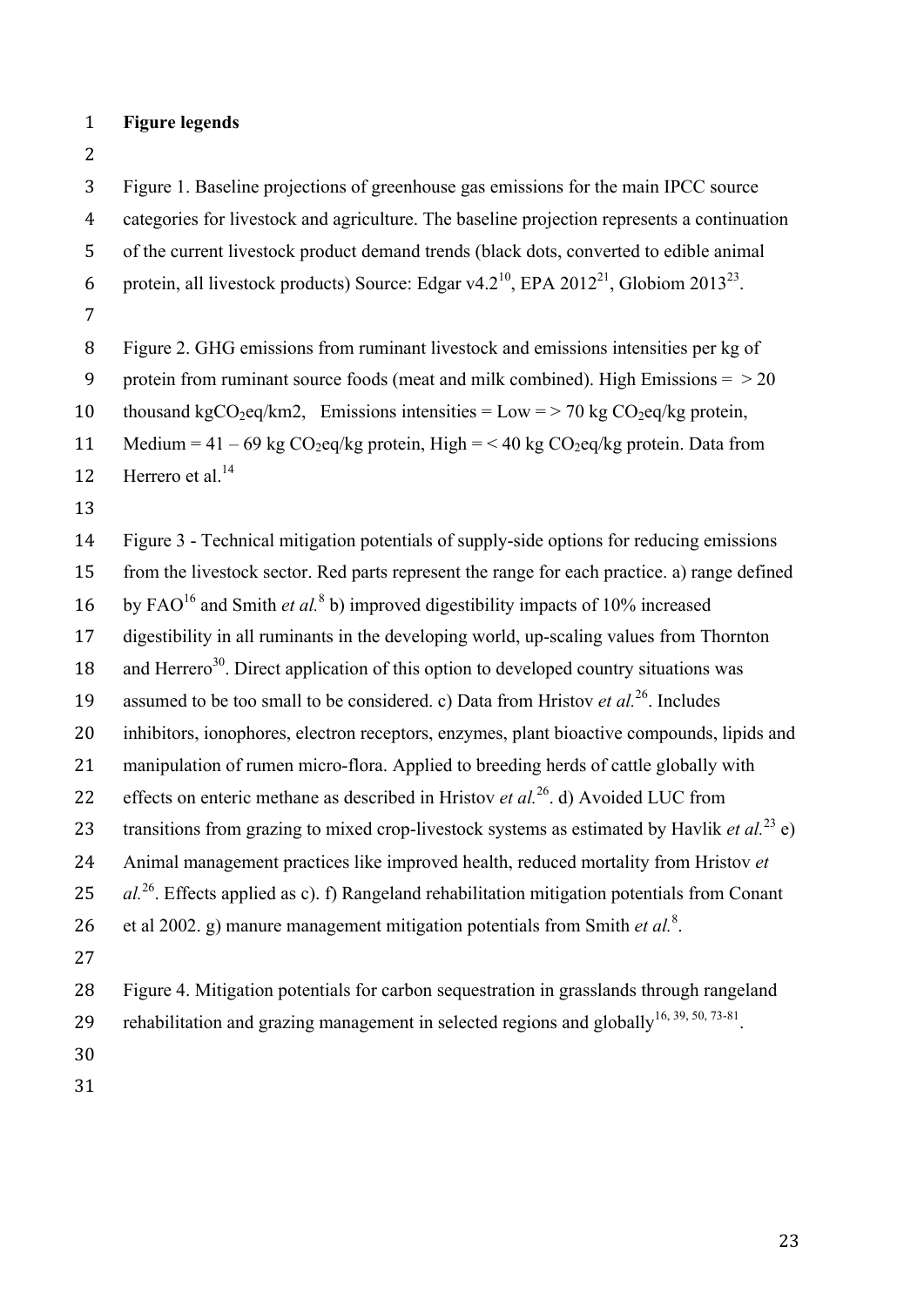- 1 **Figure legends**
- 2

3 Figure 1. Baseline projections of greenhouse gas emissions for the main IPCC source

4 categories for livestock and agriculture. The baseline projection represents a continuation

5 of the current livestock product demand trends (black dots, converted to edible animal

6 protein, all livestock products) Source: Edgar v4.2<sup>10</sup>, EPA 2012<sup>21</sup>, Globiom 2013<sup>23</sup>.

7

8 Figure 2. GHG emissions from ruminant livestock and emissions intensities per kg of

9 protein from ruminant source foods (meat and milk combined). High Emissions  $=$   $>$  20

10 thousand kgCO<sub>2</sub>eq/km2, Emissions intensities = Low = > 70 kg CO<sub>2</sub>eq/kg protein,

11 Medium = 41 – 69 kg  $CO<sub>2</sub>$ eq/kg protein, High = < 40 kg  $CO<sub>2</sub>$ eq/kg protein. Data from

12 Herrero et al  $^{14}$ 

13

14 Figure 3 - Technical mitigation potentials of supply-side options for reducing emissions 15 from the livestock sector. Red parts represent the range for each practice. a) range defined 16 by FAO<sup>16</sup> and Smith *et al.*<sup>8</sup> b) improved digestibility impacts of 10% increased 17 digestibility in all ruminants in the developing world, up-scaling values from Thornton 18 and Herrero<sup>30</sup>. Direct application of this option to developed country situations was 19 assumed to be too small to be considered. c) Data from Hristov *et al.*<sup>26</sup>. Includes 20 inhibitors, ionophores, electron receptors, enzymes, plant bioactive compounds, lipids and 21 manipulation of rumen micro-flora. Applied to breeding herds of cattle globally with 22 effects on enteric methane as described in Hristov *et al.*<sup>26</sup> d) Avoided LUC from 23 transitions from grazing to mixed crop-livestock systems as estimated by Havlik *et al.*<sup>23</sup> e) 24 Animal management practices like improved health, reduced mortality from Hristov *et*  25 *al.*<sup>26</sup> Effects applied as c). f) Rangeland rehabilitation mitigation potentials from Conant 26 et al 2002. g) manure management mitigation potentials from Smith *et al.<sup>8</sup>*. 27 28 Figure 4. Mitigation potentials for carbon sequestration in grasslands through rangeland 29 rehabilitation and grazing management in selected regions and globally<sup>16, 39, 50, 73-81</sup>. 30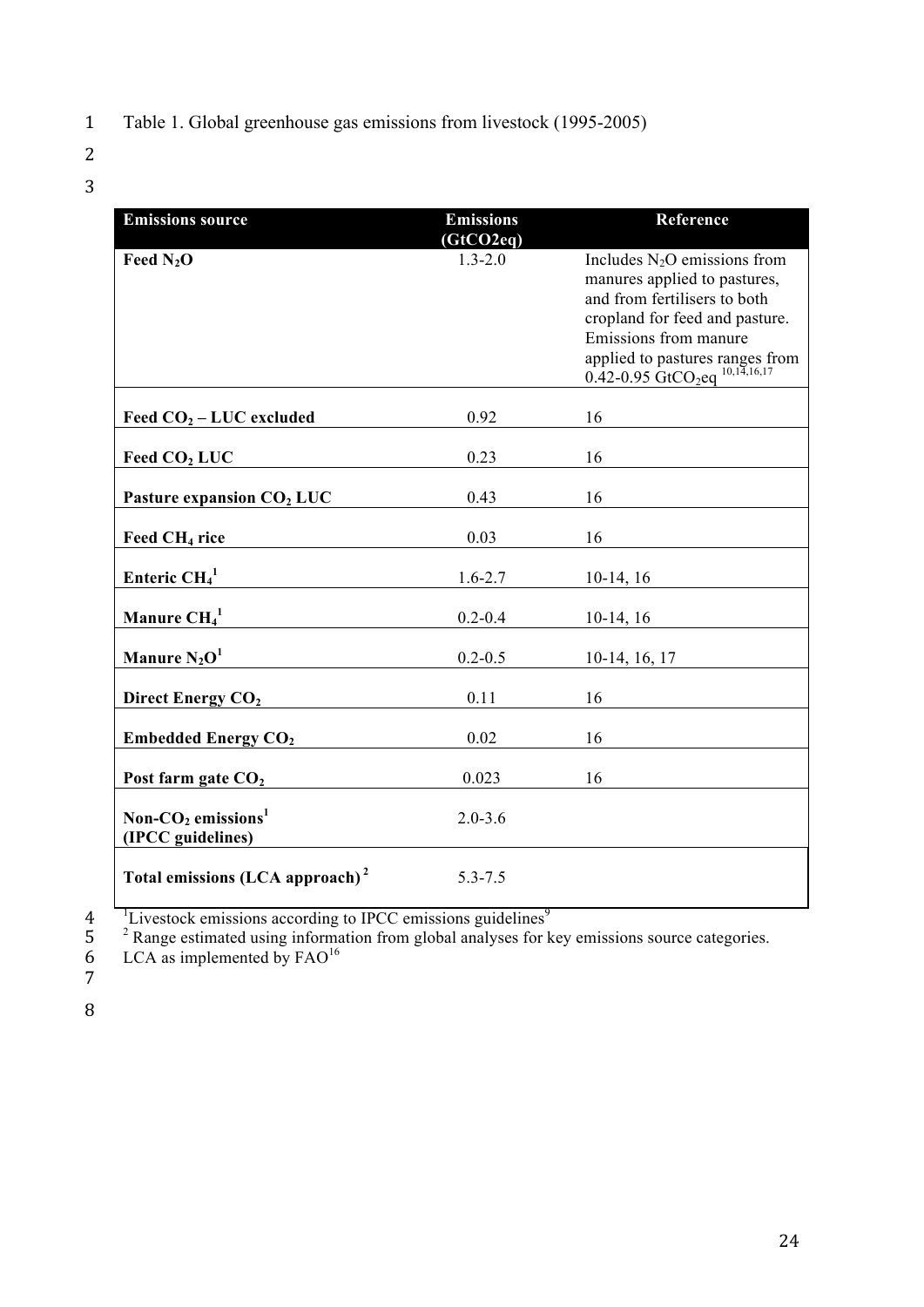- 1 Table 1. Global greenhouse gas emissions from livestock (1995-2005)
- 2
- 3

| <b>Emissions source</b>                                | <b>Emissions</b> | Reference                                                                                                                                                                                                                                             |
|--------------------------------------------------------|------------------|-------------------------------------------------------------------------------------------------------------------------------------------------------------------------------------------------------------------------------------------------------|
|                                                        | (GtCO2eq)        |                                                                                                                                                                                                                                                       |
| Feed $N_2O$                                            | $1.3 - 2.0$      | Includes $N_2O$ emissions from<br>manures applied to pastures,<br>and from fertilisers to both<br>cropland for feed and pasture.<br>Emissions from manure<br>applied to pastures ranges from<br>0.42-0.95 GtCO <sub>2</sub> eq <sup>10,14,16,17</sup> |
| Feed $CO2 - LUC$ excluded                              | 0.92             | 16                                                                                                                                                                                                                                                    |
| Feed $CO2 LUC$                                         | 0.23             | 16                                                                                                                                                                                                                                                    |
| Pasture expansion CO <sub>2</sub> LUC                  | 0.43             | 16                                                                                                                                                                                                                                                    |
| Feed CH <sub>4</sub> rice                              | 0.03             | 16                                                                                                                                                                                                                                                    |
| Enteric $CH41$                                         | $1.6 - 2.7$      | $10-14, 16$                                                                                                                                                                                                                                           |
| Manure $\text{CH}_4^1$                                 | $0.2 - 0.4$      | $10-14, 16$                                                                                                                                                                                                                                           |
| Manure $N_2O^1$                                        | $0.2 - 0.5$      | $10-14, 16, 17$                                                                                                                                                                                                                                       |
| Direct Energy CO <sub>2</sub>                          | 0.11             | 16                                                                                                                                                                                                                                                    |
| <b>Embedded Energy CO<sub>2</sub></b>                  | 0.02             | 16                                                                                                                                                                                                                                                    |
| Post farm gate CO <sub>2</sub>                         | 0.023            | 16                                                                                                                                                                                                                                                    |
| Non- $CO2$ emissions <sup>1</sup><br>(IPCC guidelines) | $2.0 - 3.6$      |                                                                                                                                                                                                                                                       |
| Total emissions (LCA approach) <sup>2</sup>            | $5.3 - 7.5$      |                                                                                                                                                                                                                                                       |

 $\begin{array}{c} 4 \\ 5 \\ 6 \\ 7 \end{array}$ 

<sup>1</sup>Livestock emissions according to IPCC emissions guidelines<sup>9</sup>

<sup>2</sup> Range estimated using information from global analyses for key emissions source categories.

6 LCA as implemented by  $FAO<sup>16</sup>$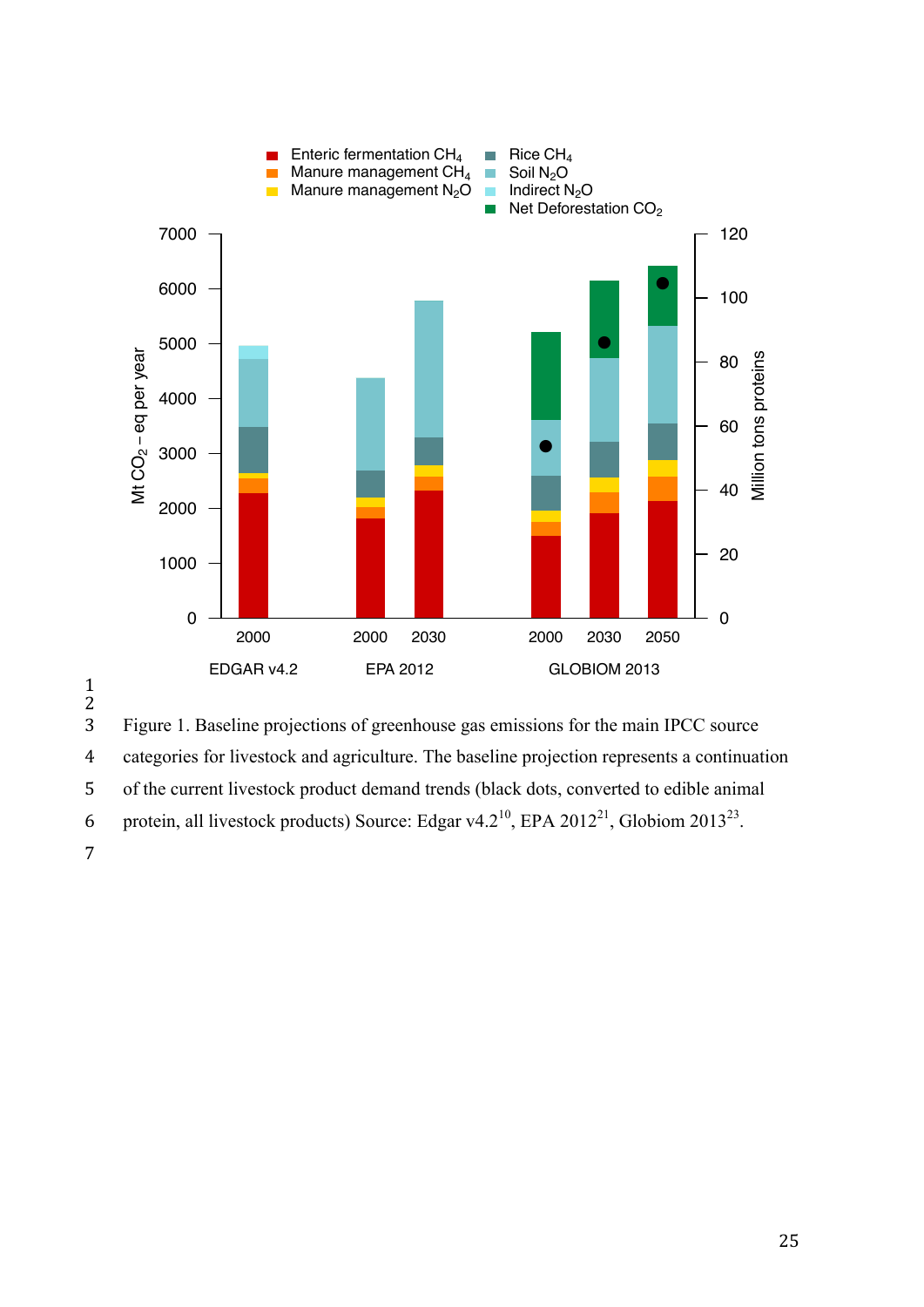

1

 $\frac{2}{3}$ 3 Figure 1. Baseline projections of greenhouse gas emissions for the main IPCC source 4 categories for livestock and agriculture. The baseline projection represents a continuation 5 of the current livestock product demand trends (black dots, converted to edible animal 6 protein, all livestock products) Source: Edgar v4.2<sup>10</sup>, EPA 2012<sup>21</sup>, Globiom 2013<sup>23</sup>.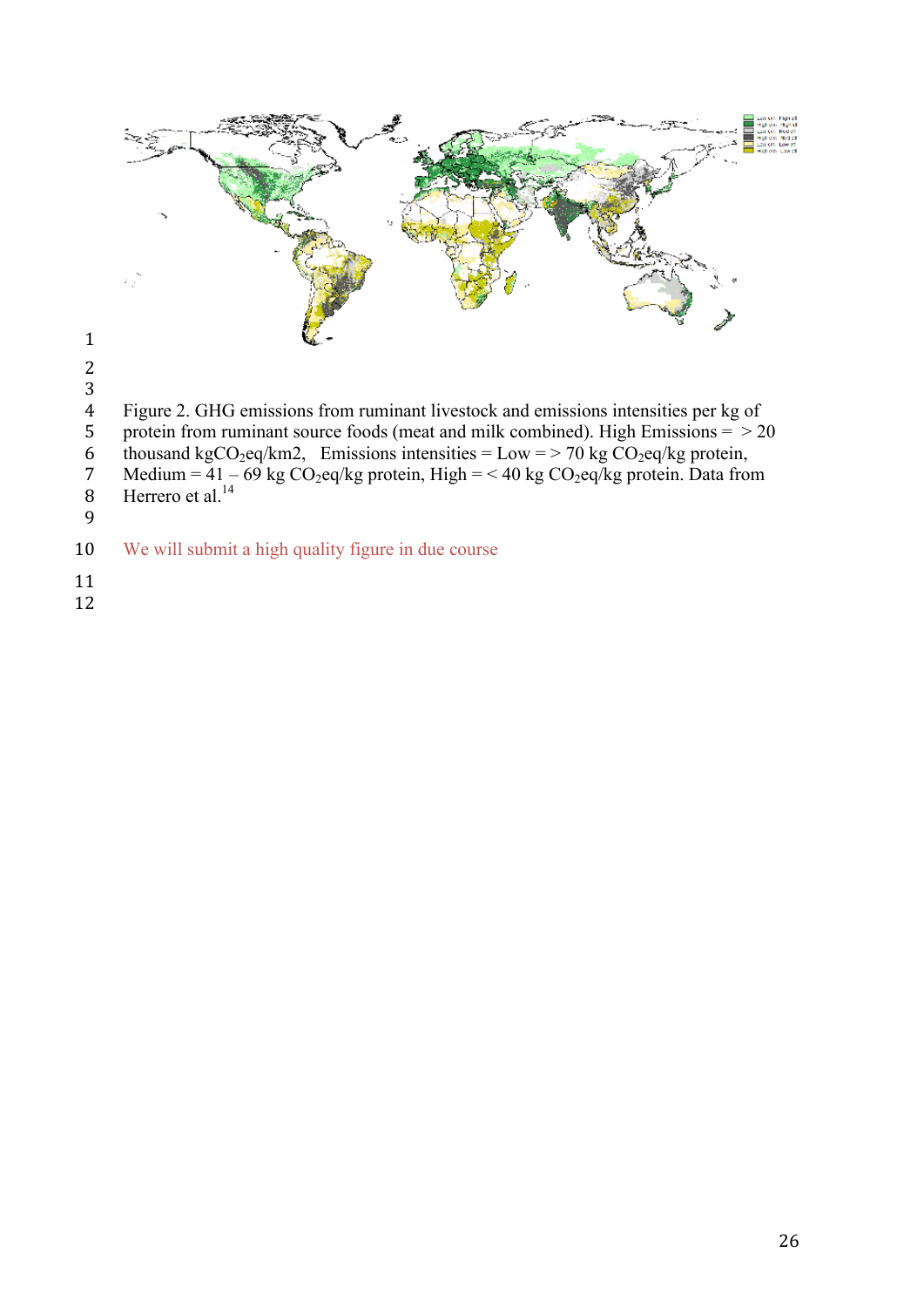

- 5 protein from ruminant source foods (meat and milk combined). High Emissions  $=$  > 20
- 6 thousand kgCO<sub>2</sub>eq/km2, Emissions intensities = Low = > 70 kg CO<sub>2</sub>eq/kg protein,<br>7 Medium = 41 69 kg CO<sub>2</sub>eq/kg protein, High = < 40 kg CO<sub>2</sub>eq/kg protein. Data fro 7 Medium =  $41 - 69$  kg CO<sub>2</sub>eq/kg protein, High =  $<$  40 kg CO<sub>2</sub>eq/kg protein. Data from
- 8 Herrero et al. $^{14}$
- 

- We will submit a high quality figure in due course
- 
-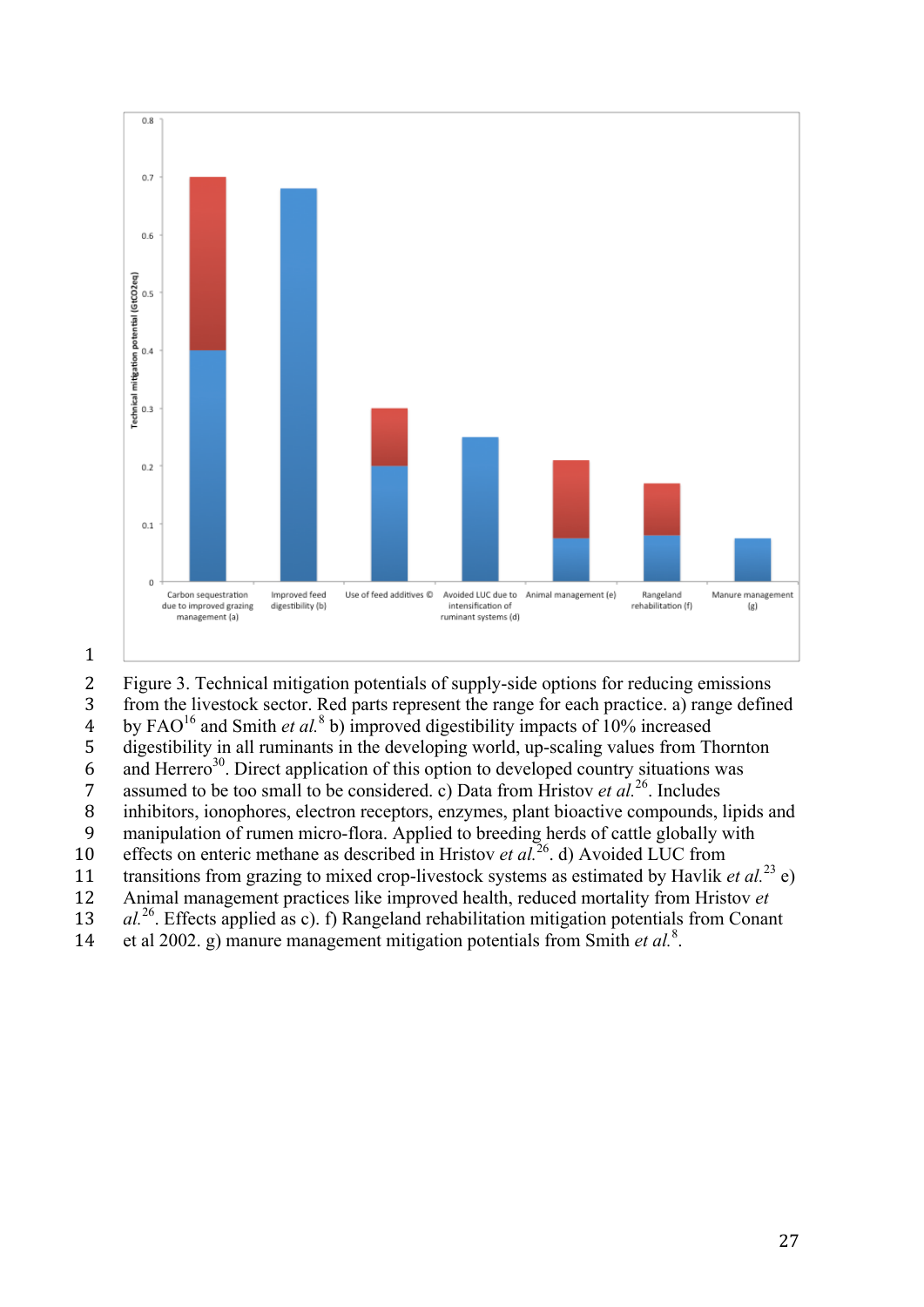

2 Figure 3. Technical mitigation potentials of supply-side options for reducing emissions 3 from the livestock sector. Red parts represent the range for each practice. a) range defined by FAO<sup>16</sup> and Smith *et al.*<sup>8</sup> b) improved digestibility impacts of 10% increased 5 digestibility in all ruminants in the developing world, up-scaling values from Thornton  $\frac{1}{2}$  and Herrero<sup>30</sup>. Direct application of this option to developed country situations was 7 assumed to be too small to be considered. c) Data from Hristov *et al.*<sup>26</sup>. Includes 8 inhibitors, ionophores, electron receptors, enzymes, plant bioactive compounds, lipids and 9 manipulation of rumen micro-flora. Applied to breeding herds of cattle globally with effects on enteric methane as described in Hristov *et al.*<sup>26</sup> d) Avoided LUC from 11 transitions from grazing to mixed crop-livestock systems as estimated by Havlik *et al.*<sup>23</sup> e) 12 Animal management practices like improved health, reduced mortality from Hristov *et*  13 *al.*<sup>26</sup>. Effects applied as c). f) Rangeland rehabilitation mitigation potentials from Conant 14 et al 2002. g) manure management mitigation potentials from Smith *et al.*<sup>8</sup>.